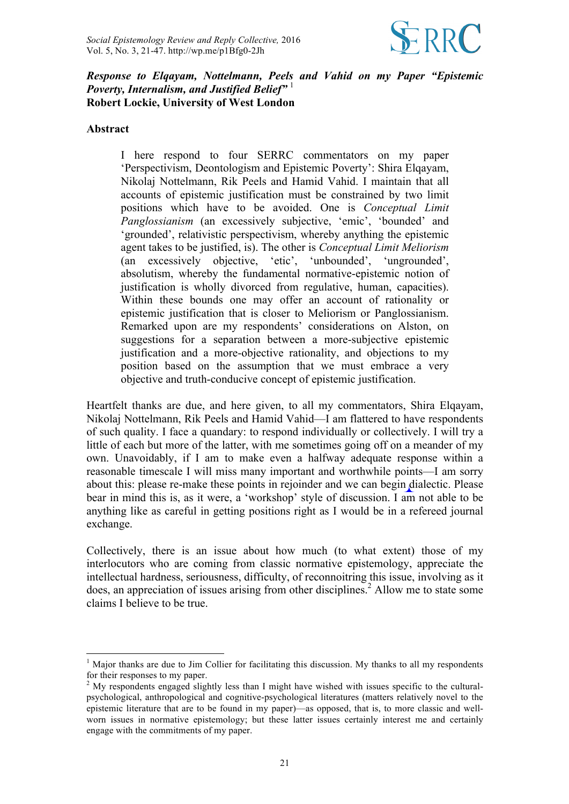

### *Response to Elqayam, Nottelmann, Peels and Vahid on my Paper "Epistemic Poverty, Internalism, and Justified Belief"* <sup>1</sup> **Robert Lockie, University of West London**

#### **Abstract**

I here respond to four SERRC commentators on my paper 'Perspectivism, Deontologism and Epistemic Poverty': Shira Elqayam, Nikolaj Nottelmann, Rik Peels and Hamid Vahid. I maintain that all accounts of epistemic justification must be constrained by two limit positions which have to be avoided. One is *Conceptual Limit Panglossianism* (an excessively subjective, 'emic', 'bounded' and 'grounded', relativistic perspectivism, whereby anything the epistemic agent takes to be justified, is). The other is *Conceptual Limit Meliorism* (an excessively objective, 'etic', 'unbounded', 'ungrounded', absolutism, whereby the fundamental normative-epistemic notion of justification is wholly divorced from regulative, human, capacities). Within these bounds one may offer an account of rationality or epistemic justification that is closer to Meliorism or Panglossianism. Remarked upon are my respondents' considerations on Alston, on suggestions for a separation between a more-subjective epistemic justification and a more-objective rationality, and objections to my position based on the assumption that we must embrace a very objective and truth-conducive concept of epistemic justification.

Heartfelt thanks are due, and here given, to all my commentators, Shira Elqayam, Nikolaj Nottelmann, Rik Peels and Hamid Vahid—I am flattered to have respondents of such quality. I face a quandary: to respond individually or collectively. I will try a little of each but more of the latter, with me sometimes going off on a meander of my own. Unavoidably, if I am to make even a halfway adequate response within a reasonable timescale I will miss many important and worthwhile points—I am sorry about this: please re-make these points in rejoinder and we can begin dialectic. Please bear in mind this is, as it were, a 'workshop' style of discussion. I am not able to be anything like as careful in getting positions right as I would be in a refereed journal exchange.

Collectively, there is an issue about how much (to what extent) those of my interlocutors who are coming from classic normative epistemology, appreciate the intellectual hardness, seriousness, difficulty, of reconnoitring this issue, involving as it does, an appreciation of issues arising from other disciplines. <sup>2</sup> Allow me to state some claims I believe to be true.

 $<sup>1</sup>$  Major thanks are due to Jim Collier for facilitating this discussion. My thanks to all my respondents</sup> for their responses to my paper.

<sup>&</sup>lt;sup>2</sup> My respondents engaged slightly less than I might have wished with issues specific to the culturalpsychological, anthropological and cognitive-psychological literatures (matters relatively novel to the epistemic literature that are to be found in my paper)—as opposed, that is, to more classic and wellworn issues in normative epistemology; but these latter issues certainly interest me and certainly engage with the commitments of my paper.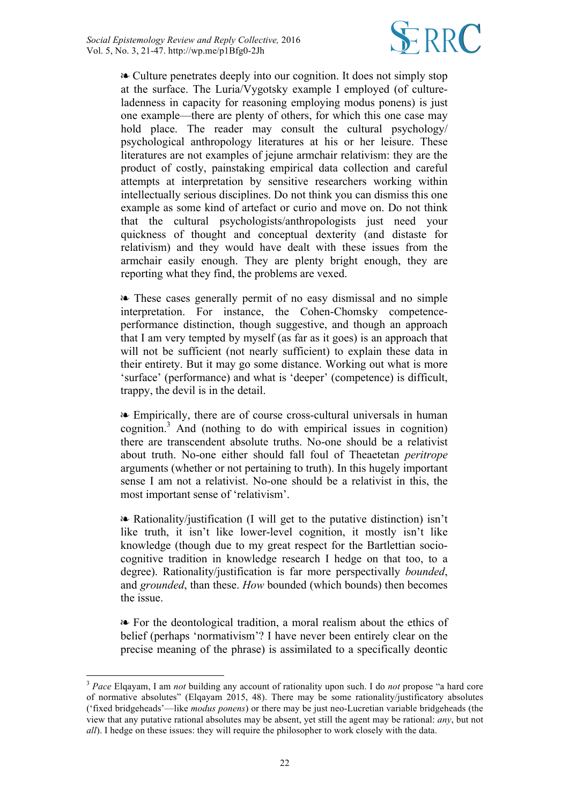

❧ Culture penetrates deeply into our cognition. It does not simply stop at the surface. The Luria/Vygotsky example I employed (of cultureladenness in capacity for reasoning employing modus ponens) is just one example—there are plenty of others, for which this one case may hold place. The reader may consult the cultural psychology/ psychological anthropology literatures at his or her leisure. These literatures are not examples of jejune armchair relativism: they are the product of costly, painstaking empirical data collection and careful attempts at interpretation by sensitive researchers working within intellectually serious disciplines. Do not think you can dismiss this one example as some kind of artefact or curio and move on. Do not think that the cultural psychologists/anthropologists just need your quickness of thought and conceptual dexterity (and distaste for relativism) and they would have dealt with these issues from the armchair easily enough. They are plenty bright enough, they are reporting what they find, the problems are vexed.

❧ These cases generally permit of no easy dismissal and no simple interpretation. For instance, the Cohen-Chomsky competenceperformance distinction, though suggestive, and though an approach that I am very tempted by myself (as far as it goes) is an approach that will not be sufficient (not nearly sufficient) to explain these data in their entirety. But it may go some distance. Working out what is more 'surface' (performance) and what is 'deeper' (competence) is difficult, trappy, the devil is in the detail.

❧ Empirically, there are of course cross-cultural universals in human cognition. <sup>3</sup> And (nothing to do with empirical issues in cognition) there are transcendent absolute truths. No-one should be a relativist about truth. No-one either should fall foul of Theaetetan *peritrope* arguments (whether or not pertaining to truth). In this hugely important sense I am not a relativist. No-one should be a relativist in this, the most important sense of 'relativism'.

❧ Rationality/justification (I will get to the putative distinction) isn't like truth, it isn't like lower-level cognition, it mostly isn't like knowledge (though due to my great respect for the Bartlettian sociocognitive tradition in knowledge research I hedge on that too, to a degree). Rationality/justification is far more perspectivally *bounded*, and *grounded*, than these. *How* bounded (which bounds) then becomes the issue.

❧ For the deontological tradition, a moral realism about the ethics of belief (perhaps 'normativism'? I have never been entirely clear on the precise meaning of the phrase) is assimilated to a specifically deontic

 <sup>3</sup> *Pace* Elqayam, I am *not* building any account of rationality upon such. I do *not* propose "a hard core of normative absolutes" (Elqayam 2015, 48). There may be some rationality/justificatory absolutes ('fixed bridgeheads'—like *modus ponens*) or there may be just neo-Lucretian variable bridgeheads (the view that any putative rational absolutes may be absent, yet still the agent may be rational: *any*, but not *all*). I hedge on these issues: they will require the philosopher to work closely with the data.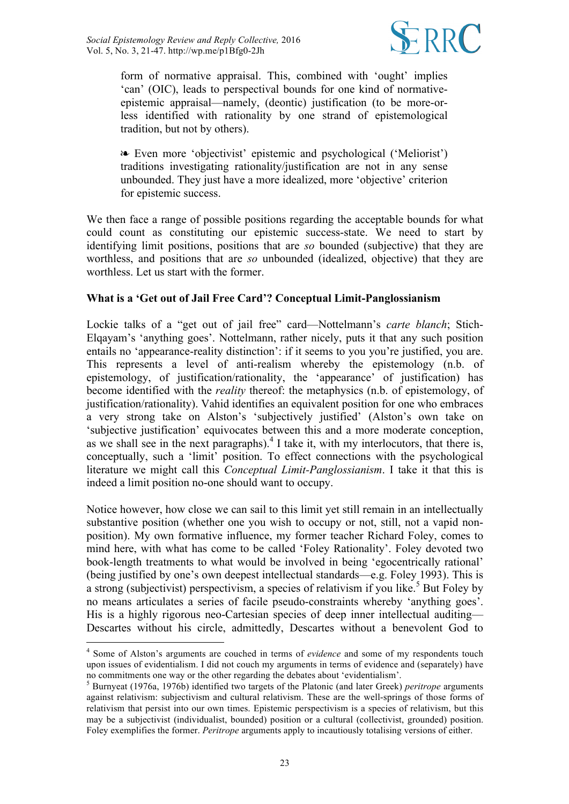

form of normative appraisal. This, combined with 'ought' implies 'can' (OIC), leads to perspectival bounds for one kind of normativeepistemic appraisal—namely, (deontic) justification (to be more-orless identified with rationality by one strand of epistemological tradition, but not by others).

❧ Even more 'objectivist' epistemic and psychological ('Meliorist') traditions investigating rationality/justification are not in any sense unbounded. They just have a more idealized, more 'objective' criterion for epistemic success.

We then face a range of possible positions regarding the acceptable bounds for what could count as constituting our epistemic success-state. We need to start by identifying limit positions, positions that are *so* bounded (subjective) that they are worthless, and positions that are *so* unbounded (idealized, objective) that they are worthless. Let us start with the former.

# **What is a 'Get out of Jail Free Card'? Conceptual Limit-Panglossianism**

Lockie talks of a "get out of jail free" card—Nottelmann's *carte blanch*; Stich-Elqayam's 'anything goes'. Nottelmann, rather nicely, puts it that any such position entails no 'appearance-reality distinction': if it seems to you you're justified, you are. This represents a level of anti-realism whereby the epistemology (n.b. of epistemology, of justification/rationality, the 'appearance' of justification) has become identified with the *reality* thereof: the metaphysics (n.b. of epistemology, of justification/rationality). Vahid identifies an equivalent position for one who embraces a very strong take on Alston's 'subjectively justified' (Alston's own take on 'subjective justification' equivocates between this and a more moderate conception, as we shall see in the next paragraphs). <sup>4</sup> I take it, with my interlocutors, that there is, conceptually, such a 'limit' position. To effect connections with the psychological literature we might call this *Conceptual Limit-Panglossianism*. I take it that this is indeed a limit position no-one should want to occupy.

Notice however, how close we can sail to this limit yet still remain in an intellectually substantive position (whether one you wish to occupy or not, still, not a vapid nonposition). My own formative influence, my former teacher Richard Foley, comes to mind here, with what has come to be called 'Foley Rationality'. Foley devoted two book-length treatments to what would be involved in being 'egocentrically rational' (being justified by one's own deepest intellectual standards—e.g. Foley 1993). This is a strong (subjectivist) perspectivism, a species of relativism if you like.<sup>5</sup> But Foley by no means articulates a series of facile pseudo-constraints whereby 'anything goes'. His is a highly rigorous neo-Cartesian species of deep inner intellectual auditing— Descartes without his circle, admittedly, Descartes without a benevolent God to

 <sup>4</sup> Some of Alston's arguments are couched in terms of *evidence* and some of my respondents touch upon issues of evidentialism. I did not couch my arguments in terms of evidence and (separately) have no commitments one way or the other regarding the debates about 'evidentialism'.

<sup>5</sup> Burnyeat (1976a, 1976b) identified two targets of the Platonic (and later Greek) *peritrope* arguments against relativism: subjectivism and cultural relativism. These are the well-springs of those forms of relativism that persist into our own times. Epistemic perspectivism is a species of relativism, but this may be a subjectivist (individualist, bounded) position or a cultural (collectivist, grounded) position. Foley exemplifies the former. *Peritrope* arguments apply to incautiously totalising versions of either.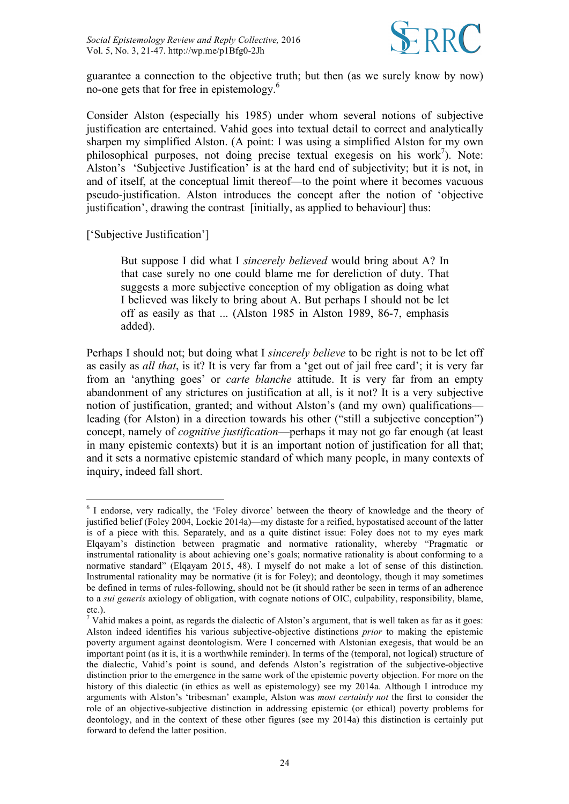

guarantee a connection to the objective truth; but then (as we surely know by now) no-one gets that for free in epistemology.<sup>6</sup>

Consider Alston (especially his 1985) under whom several notions of subjective justification are entertained. Vahid goes into textual detail to correct and analytically sharpen my simplified Alston. (A point: I was using a simplified Alston for my own philosophical purposes, not doing precise textual exegesis on his work<sup>7</sup>). Note: Alston's 'Subjective Justification' is at the hard end of subjectivity; but it is not, in and of itself, at the conceptual limit thereof—to the point where it becomes vacuous pseudo-justification. Alston introduces the concept after the notion of 'objective justification', drawing the contrast [initially, as applied to behaviour] thus:

['Subjective Justification']

But suppose I did what I *sincerely believed* would bring about A? In that case surely no one could blame me for dereliction of duty. That suggests a more subjective conception of my obligation as doing what I believed was likely to bring about A. But perhaps I should not be let off as easily as that ... (Alston 1985 in Alston 1989, 86-7, emphasis added).

Perhaps I should not; but doing what I *sincerely believe* to be right is not to be let off as easily as *all that*, is it? It is very far from a 'get out of jail free card'; it is very far from an 'anything goes' or *carte blanche* attitude. It is very far from an empty abandonment of any strictures on justification at all, is it not? It is a very subjective notion of justification, granted; and without Alston's (and my own) qualifications leading (for Alston) in a direction towards his other ("still a subjective conception") concept, namely of *cognitive justification*—perhaps it may not go far enough (at least in many epistemic contexts) but it is an important notion of justification for all that; and it sets a normative epistemic standard of which many people, in many contexts of inquiry, indeed fall short.

 <sup>6</sup> I endorse, very radically, the 'Foley divorce' between the theory of knowledge and the theory of justified belief (Foley 2004, Lockie 2014a)—my distaste for a reified, hypostatised account of the latter is of a piece with this. Separately, and as a quite distinct issue: Foley does not to my eyes mark Elqayam's distinction between pragmatic and normative rationality, whereby "Pragmatic or instrumental rationality is about achieving one's goals; normative rationality is about conforming to a normative standard" (Elgayam 2015, 48). I myself do not make a lot of sense of this distinction. Instrumental rationality may be normative (it is for Foley); and deontology, though it may sometimes be defined in terms of rules-following, should not be (it should rather be seen in terms of an adherence to a *sui generis* axiology of obligation, with cognate notions of OIC, culpability, responsibility, blame, etc.).

<sup>&</sup>lt;sup>7</sup> Vahid makes a point, as regards the dialectic of Alston's argument, that is well taken as far as it goes: Alston indeed identifies his various subjective-objective distinctions *prior* to making the epistemic poverty argument against deontologism. Were I concerned with Alstonian exegesis, that would be an important point (as it is, it is a worthwhile reminder). In terms of the (temporal, not logical) structure of the dialectic, Vahid's point is sound, and defends Alston's registration of the subjective-objective distinction prior to the emergence in the same work of the epistemic poverty objection. For more on the history of this dialectic (in ethics as well as epistemology) see my 2014a. Although I introduce my arguments with Alston's 'tribesman' example, Alston was *most certainly not* the first to consider the role of an objective-subjective distinction in addressing epistemic (or ethical) poverty problems for deontology, and in the context of these other figures (see my 2014a) this distinction is certainly put forward to defend the latter position.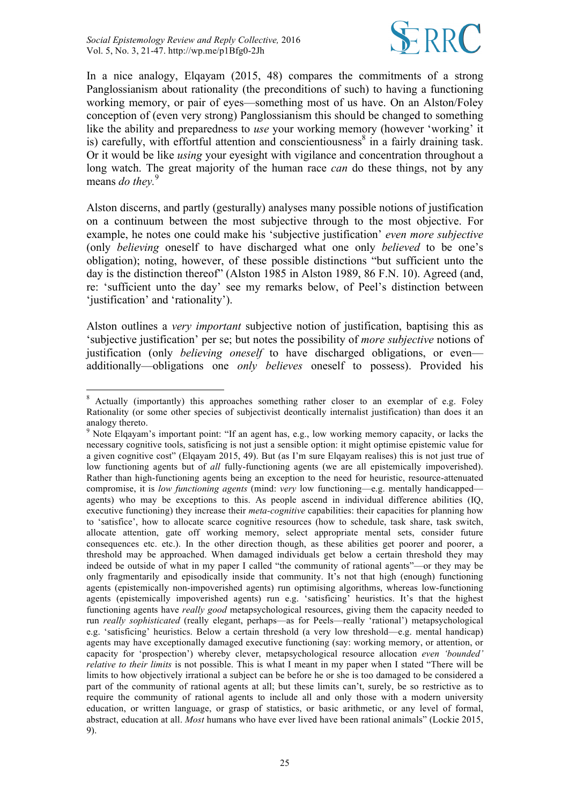

In a nice analogy, Elqayam (2015, 48) compares the commitments of a strong Panglossianism about rationality (the preconditions of such) to having a functioning working memory, or pair of eyes—something most of us have. On an Alston/Foley conception of (even very strong) Panglossianism this should be changed to something like the ability and preparedness to *use* your working memory (however 'working' it is) carefully, with effortful attention and conscientiousness<sup>8</sup> in a fairly draining task. Or it would be like *using* your eyesight with vigilance and concentration throughout a long watch. The great majority of the human race *can* do these things, not by any means *do they.* 9

Alston discerns, and partly (gesturally) analyses many possible notions of justification on a continuum between the most subjective through to the most objective. For example, he notes one could make his 'subjective justification' *even more subjective* (only *believing* oneself to have discharged what one only *believed* to be one's obligation); noting, however, of these possible distinctions "but sufficient unto the day is the distinction thereof" (Alston 1985 in Alston 1989, 86 F.N. 10). Agreed (and, re: 'sufficient unto the day' see my remarks below, of Peel's distinction between 'justification' and 'rationality').

Alston outlines a *very important* subjective notion of justification, baptising this as 'subjective justification' per se; but notes the possibility of *more subjective* notions of justification (only *believing oneself* to have discharged obligations, or even additionally—obligations one *only believes* oneself to possess). Provided his

<sup>&</sup>lt;sup>8</sup> Actually (importantly) this approaches something rather closer to an exemplar of e.g. Foley Rationality (or some other species of subjectivist deontically internalist justification) than does it an analogy thereto.

<sup>&</sup>lt;sup>9</sup> Note Elqayam's important point: "If an agent has, e.g., low working memory capacity, or lacks the necessary cognitive tools, satisficing is not just a sensible option: it might optimise epistemic value for a given cognitive cost" (Elqayam 2015, 49). But (as I'm sure Elqayam realises) this is not just true of low functioning agents but of *all* fully-functioning agents (we are all epistemically impoverished). Rather than high-functioning agents being an exception to the need for heuristic, resource-attenuated compromise, it is *low functioning agents* (mind: *very* low functioning—e.g. mentally handicapped agents) who may be exceptions to this. As people ascend in individual difference abilities (IQ, executive functioning) they increase their *meta-cognitive* capabilities: their capacities for planning how to 'satisfice', how to allocate scarce cognitive resources (how to schedule, task share, task switch, allocate attention, gate off working memory, select appropriate mental sets, consider future consequences etc. etc.). In the other direction though, as these abilities get poorer and poorer, a threshold may be approached. When damaged individuals get below a certain threshold they may indeed be outside of what in my paper I called "the community of rational agents"—or they may be only fragmentarily and episodically inside that community. It's not that high (enough) functioning agents (epistemically non-impoverished agents) run optimising algorithms, whereas low-functioning agents (epistemically impoverished agents) run e.g. 'satisficing' heuristics. It's that the highest functioning agents have *really good* metapsychological resources, giving them the capacity needed to run *really sophisticated* (really elegant, perhaps—as for Peels—really 'rational') metapsychological e.g. 'satisficing' heuristics. Below a certain threshold (a very low threshold—e.g. mental handicap) agents may have exceptionally damaged executive functioning (say: working memory, or attention, or capacity for 'prospection') whereby clever, metapsychological resource allocation *even 'bounded' relative to their limits* is not possible. This is what I meant in my paper when I stated "There will be limits to how objectively irrational a subject can be before he or she is too damaged to be considered a part of the community of rational agents at all; but these limits can't, surely, be so restrictive as to require the community of rational agents to include all and only those with a modern university education, or written language, or grasp of statistics, or basic arithmetic, or any level of formal, abstract, education at all. *Most* humans who have ever lived have been rational animals" (Lockie 2015, 9).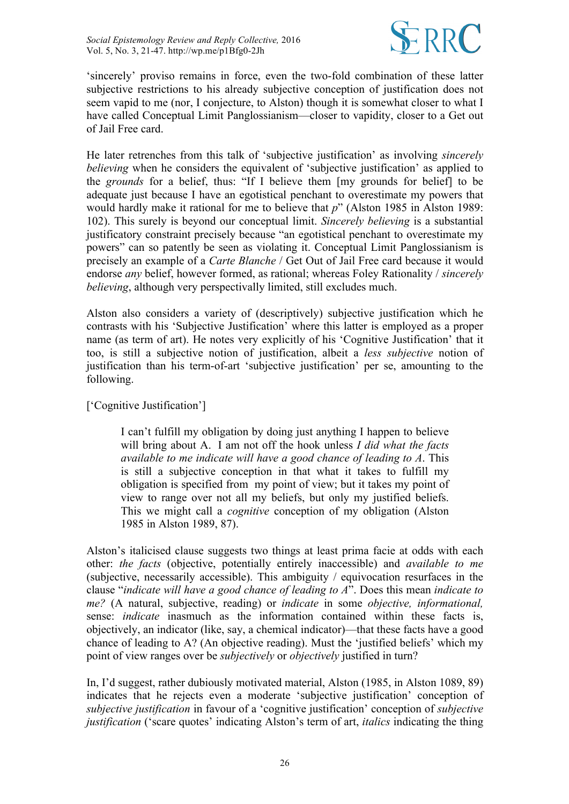

'sincerely' proviso remains in force, even the two-fold combination of these latter subjective restrictions to his already subjective conception of justification does not seem vapid to me (nor, I conjecture, to Alston) though it is somewhat closer to what I have called Conceptual Limit Panglossianism—closer to vapidity, closer to a Get out of Jail Free card.

He later retrenches from this talk of 'subjective justification' as involving *sincerely believing* when he considers the equivalent of 'subjective justification' as applied to the *grounds* for a belief, thus: "If I believe them [my grounds for belief] to be adequate just because I have an egotistical penchant to overestimate my powers that would hardly make it rational for me to believe that *p*" (Alston 1985 in Alston 1989: 102). This surely is beyond our conceptual limit. *Sincerely believing* is a substantial justificatory constraint precisely because "an egotistical penchant to overestimate my powers" can so patently be seen as violating it. Conceptual Limit Panglossianism is precisely an example of a *Carte Blanche* / Get Out of Jail Free card because it would endorse *any* belief, however formed, as rational; whereas Foley Rationality / *sincerely believing*, although very perspectivally limited, still excludes much.

Alston also considers a variety of (descriptively) subjective justification which he contrasts with his 'Subjective Justification' where this latter is employed as a proper name (as term of art). He notes very explicitly of his 'Cognitive Justification' that it too, is still a subjective notion of justification, albeit a *less subjective* notion of justification than his term-of-art 'subjective justification' per se, amounting to the following.

['Cognitive Justification']

I can't fulfill my obligation by doing just anything I happen to believe will bring about A. I am not off the hook unless *I did what the facts available to me indicate will have a good chance of leading to A*. This is still a subjective conception in that what it takes to fulfill my obligation is specified from my point of view; but it takes my point of view to range over not all my beliefs, but only my justified beliefs. This we might call a *cognitive* conception of my obligation (Alston 1985 in Alston 1989, 87).

Alston's italicised clause suggests two things at least prima facie at odds with each other: *the facts* (objective, potentially entirely inaccessible) and *available to me* (subjective, necessarily accessible). This ambiguity / equivocation resurfaces in the clause "*indicate will have a good chance of leading to A*". Does this mean *indicate to me?* (A natural, subjective, reading) or *indicate* in some *objective, informational,* sense: *indicate* inasmuch as the information contained within these facts is, objectively, an indicator (like, say, a chemical indicator)—that these facts have a good chance of leading to A? (An objective reading). Must the 'justified beliefs' which my point of view ranges over be *subjectively* or *objectively* justified in turn?

In, I'd suggest, rather dubiously motivated material, Alston (1985, in Alston 1089, 89) indicates that he rejects even a moderate 'subjective justification' conception of *subjective justification* in favour of a 'cognitive justification' conception of *subjective justification* ('scare quotes' indicating Alston's term of art, *italics* indicating the thing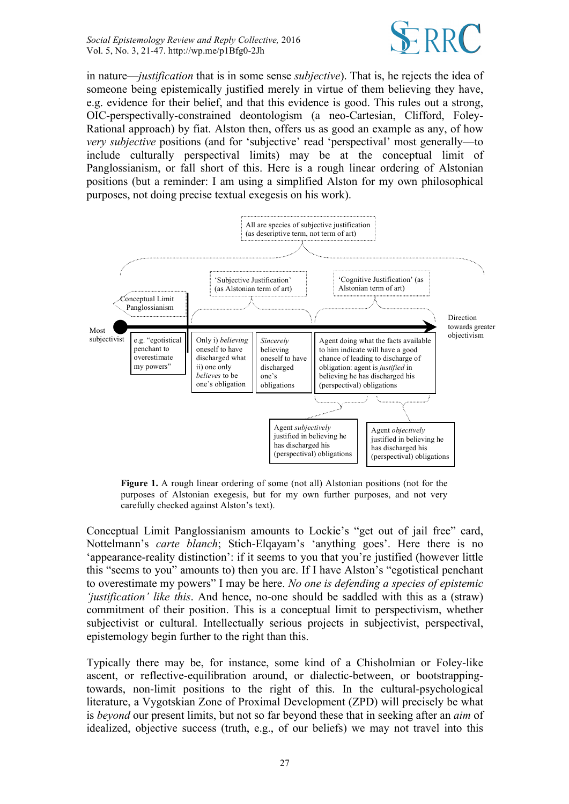

in nature—*justification* that is in some sense *subjective*). That is, he rejects the idea of someone being epistemically justified merely in virtue of them believing they have, e.g. evidence for their belief, and that this evidence is good. This rules out a strong, OIC-perspectivally-constrained deontologism (a neo-Cartesian, Clifford, Foley-Rational approach) by fiat. Alston then, offers us as good an example as any, of how *very subjective* positions (and for 'subjective' read 'perspectival' most generally—to include culturally perspectival limits) may be at the conceptual limit of Panglossianism, or fall short of this. Here is a rough linear ordering of Alstonian positions (but a reminder: I am using a simplified Alston for my own philosophical purposes, not doing precise textual exegesis on his work).



**Figure 1.** A rough linear ordering of some (not all) Alstonian positions (not for the purposes of Alstonian exegesis, but for my own further purposes, and not very carefully checked against Alston's text).

Conceptual Limit Panglossianism amounts to Lockie's "get out of jail free" card, Nottelmann's *carte blanch*; Stich-Elqayam's 'anything goes'. Here there is no 'appearance-reality distinction': if it seems to you that you're justified (however little this "seems to you" amounts to) then you are. If I have Alston's "egotistical penchant to overestimate my powers" I may be here. *No one is defending a species of epistemic 'justification' like this*. And hence, no-one should be saddled with this as a (straw) commitment of their position. This is a conceptual limit to perspectivism, whether subjectivist or cultural. Intellectually serious projects in subjectivist, perspectival, epistemology begin further to the right than this.

Typically there may be, for instance, some kind of a Chisholmian or Foley-like ascent, or reflective-equilibration around, or dialectic-between, or bootstrappingtowards, non-limit positions to the right of this. In the cultural-psychological literature, a Vygotskian Zone of Proximal Development (ZPD) will precisely be what is *beyond* our present limits, but not so far beyond these that in seeking after an *aim* of idealized, objective success (truth, e.g., of our beliefs) we may not travel into this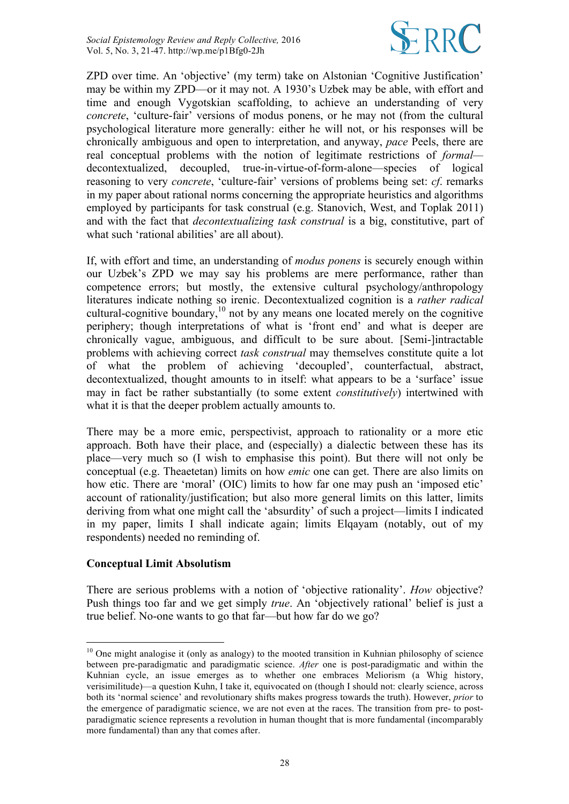

ZPD over time. An 'objective' (my term) take on Alstonian 'Cognitive Justification' may be within my ZPD—or it may not. A 1930's Uzbek may be able, with effort and time and enough Vygotskian scaffolding, to achieve an understanding of very *concrete*, 'culture-fair' versions of modus ponens, or he may not (from the cultural psychological literature more generally: either he will not, or his responses will be chronically ambiguous and open to interpretation, and anyway, *pace* Peels, there are real conceptual problems with the notion of legitimate restrictions of *formal* decontextualized, decoupled, true-in-virtue-of-form-alone—species of logical reasoning to very *concrete*, 'culture-fair' versions of problems being set: *cf*. remarks in my paper about rational norms concerning the appropriate heuristics and algorithms employed by participants for task construal (e.g. Stanovich, West, and Toplak 2011) and with the fact that *decontextualizing task construal* is a big, constitutive, part of what such 'rational abilities' are all about).

If, with effort and time, an understanding of *modus ponens* is securely enough within our Uzbek's ZPD we may say his problems are mere performance, rather than competence errors; but mostly, the extensive cultural psychology/anthropology literatures indicate nothing so irenic. Decontextualized cognition is a *rather radical* cultural-cognitive boundary, $10$  not by any means one located merely on the cognitive periphery; though interpretations of what is 'front end' and what is deeper are chronically vague, ambiguous, and difficult to be sure about. [Semi-]intractable problems with achieving correct *task construal* may themselves constitute quite a lot of what the problem of achieving 'decoupled', counterfactual, abstract, decontextualized, thought amounts to in itself: what appears to be a 'surface' issue may in fact be rather substantially (to some extent *constitutively*) intertwined with what it is that the deeper problem actually amounts to.

There may be a more emic, perspectivist, approach to rationality or a more etic approach. Both have their place, and (especially) a dialectic between these has its place—very much so (I wish to emphasise this point). But there will not only be conceptual (e.g. Theaetetan) limits on how *emic* one can get. There are also limits on how etic. There are 'moral' (OIC) limits to how far one may push an 'imposed etic' account of rationality/justification; but also more general limits on this latter, limits deriving from what one might call the 'absurdity' of such a project—limits I indicated in my paper, limits I shall indicate again; limits Elqayam (notably, out of my respondents) needed no reminding of.

#### **Conceptual Limit Absolutism**

There are serious problems with a notion of 'objective rationality'. *How* objective? Push things too far and we get simply *true*. An 'objectively rational' belief is just a true belief. No-one wants to go that far—but how far do we go?

 $10$  One might analogise it (only as analogy) to the mooted transition in Kuhnian philosophy of science between pre-paradigmatic and paradigmatic science. *After* one is post-paradigmatic and within the Kuhnian cycle, an issue emerges as to whether one embraces Meliorism (a Whig history, verisimilitude)—a question Kuhn, I take it, equivocated on (though I should not: clearly science, across both its 'normal science' and revolutionary shifts makes progress towards the truth). However, *prior* to the emergence of paradigmatic science, we are not even at the races. The transition from pre- to postparadigmatic science represents a revolution in human thought that is more fundamental (incomparably more fundamental) than any that comes after.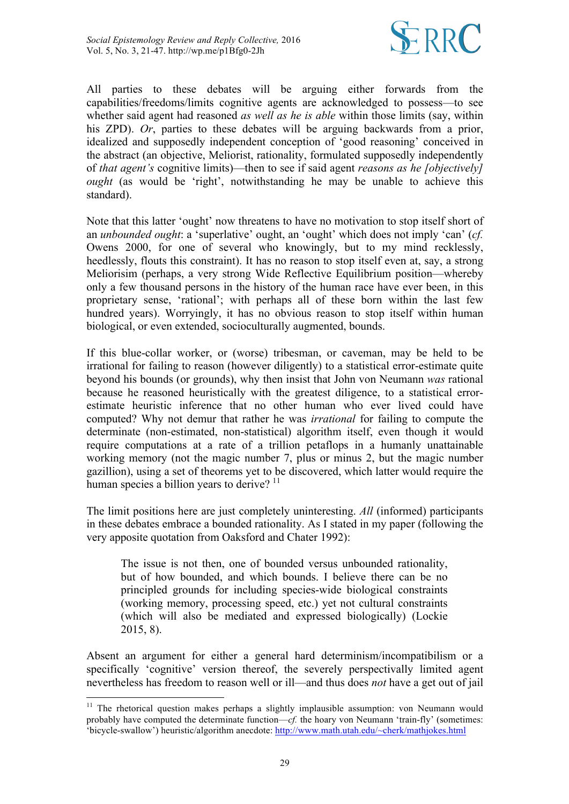

All parties to these debates will be arguing either forwards from the capabilities/freedoms/limits cognitive agents are acknowledged to possess—to see whether said agent had reasoned *as well as he is able* within those limits (say, within his ZPD). *Or*, parties to these debates will be arguing backwards from a prior, idealized and supposedly independent conception of 'good reasoning' conceived in the abstract (an objective, Meliorist, rationality, formulated supposedly independently of *that agent's* cognitive limits)—then to see if said agent *reasons as he [objectively] ought* (as would be 'right', notwithstanding he may be unable to achieve this standard).

Note that this latter 'ought' now threatens to have no motivation to stop itself short of an *unbounded ought*: a 'superlative' ought, an 'ought' which does not imply 'can' (*cf.*  Owens 2000, for one of several who knowingly, but to my mind recklessly, heedlessly, flouts this constraint). It has no reason to stop itself even at, say, a strong Meliorisim (perhaps, a very strong Wide Reflective Equilibrium position—whereby only a few thousand persons in the history of the human race have ever been, in this proprietary sense, 'rational'; with perhaps all of these born within the last few hundred years). Worryingly, it has no obvious reason to stop itself within human biological, or even extended, socioculturally augmented, bounds.

If this blue-collar worker, or (worse) tribesman, or caveman, may be held to be irrational for failing to reason (however diligently) to a statistical error-estimate quite beyond his bounds (or grounds), why then insist that John von Neumann *was* rational because he reasoned heuristically with the greatest diligence, to a statistical errorestimate heuristic inference that no other human who ever lived could have computed? Why not demur that rather he was *irrational* for failing to compute the determinate (non-estimated, non-statistical) algorithm itself, even though it would require computations at a rate of a trillion petaflops in a humanly unattainable working memory (not the magic number 7, plus or minus 2, but the magic number gazillion), using a set of theorems yet to be discovered, which latter would require the human species a billion years to derive?  $11$ 

The limit positions here are just completely uninteresting. *All* (informed) participants in these debates embrace a bounded rationality. As I stated in my paper (following the very apposite quotation from Oaksford and Chater 1992):

The issue is not then, one of bounded versus unbounded rationality, but of how bounded, and which bounds. I believe there can be no principled grounds for including species-wide biological constraints (working memory, processing speed, etc.) yet not cultural constraints (which will also be mediated and expressed biologically) (Lockie 2015, 8).

Absent an argument for either a general hard determinism/incompatibilism or a specifically 'cognitive' version thereof, the severely perspectivally limited agent nevertheless has freedom to reason well or ill—and thus does *not* have a get out of jail

<sup>&</sup>lt;sup>11</sup> The rhetorical question makes perhaps a slightly implausible assumption: von Neumann would probably have computed the determinate function— $cf$ . the hoary von Neumann 'train-fly' (sometimes: 'bicycle-swallow') heuristic/algorithm anecdote: http://www.math.utah.edu/~cherk/mathjokes.html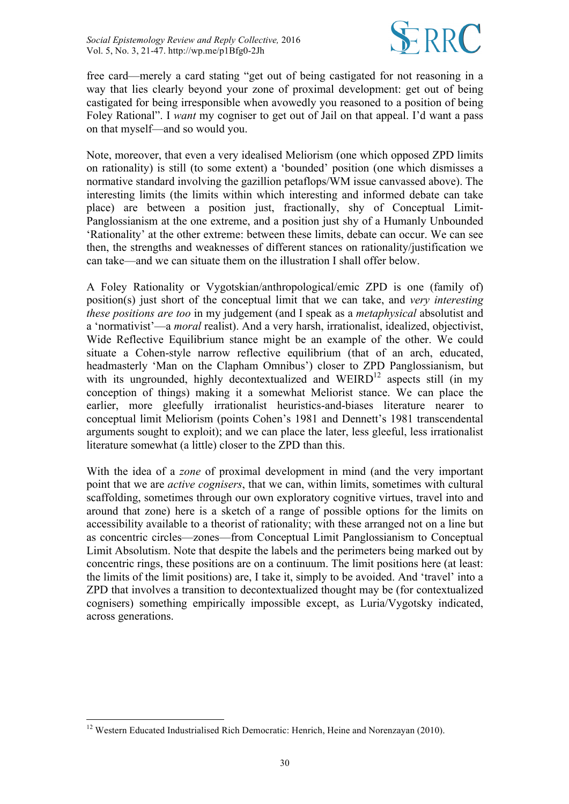

free card—merely a card stating "get out of being castigated for not reasoning in a way that lies clearly beyond your zone of proximal development: get out of being castigated for being irresponsible when avowedly you reasoned to a position of being Foley Rational". I *want* my cogniser to get out of Jail on that appeal. I'd want a pass on that myself—and so would you.

Note, moreover, that even a very idealised Meliorism (one which opposed ZPD limits on rationality) is still (to some extent) a 'bounded' position (one which dismisses a normative standard involving the gazillion petaflops/WM issue canvassed above). The interesting limits (the limits within which interesting and informed debate can take place) are between a position just, fractionally, shy of Conceptual Limit-Panglossianism at the one extreme, and a position just shy of a Humanly Unbounded 'Rationality' at the other extreme: between these limits, debate can occur. We can see then, the strengths and weaknesses of different stances on rationality/justification we can take—and we can situate them on the illustration I shall offer below.

A Foley Rationality or Vygotskian/anthropological/emic ZPD is one (family of) position(s) just short of the conceptual limit that we can take, and *very interesting these positions are too* in my judgement (and I speak as a *metaphysical* absolutist and a 'normativist'—a *moral* realist). And a very harsh, irrationalist, idealized, objectivist, Wide Reflective Equilibrium stance might be an example of the other. We could situate a Cohen-style narrow reflective equilibrium (that of an arch, educated, headmasterly 'Man on the Clapham Omnibus') closer to ZPD Panglossianism, but with its ungrounded, highly decontextualized and  $WEIRD^{12}$  aspects still (in my conception of things) making it a somewhat Meliorist stance. We can place the earlier, more gleefully irrationalist heuristics-and-biases literature nearer to conceptual limit Meliorism (points Cohen's 1981 and Dennett's 1981 transcendental arguments sought to exploit); and we can place the later, less gleeful, less irrationalist literature somewhat (a little) closer to the ZPD than this.

With the idea of a *zone* of proximal development in mind (and the very important point that we are *active cognisers*, that we can, within limits, sometimes with cultural scaffolding, sometimes through our own exploratory cognitive virtues, travel into and around that zone) here is a sketch of a range of possible options for the limits on accessibility available to a theorist of rationality; with these arranged not on a line but as concentric circles—zones—from Conceptual Limit Panglossianism to Conceptual Limit Absolutism. Note that despite the labels and the perimeters being marked out by concentric rings, these positions are on a continuum. The limit positions here (at least: the limits of the limit positions) are, I take it, simply to be avoided. And 'travel' into a ZPD that involves a transition to decontextualized thought may be (for contextualized cognisers) something empirically impossible except, as Luria/Vygotsky indicated, across generations.

<sup>&</sup>lt;sup>12</sup> Western Educated Industrialised Rich Democratic: Henrich, Heine and Norenzayan (2010).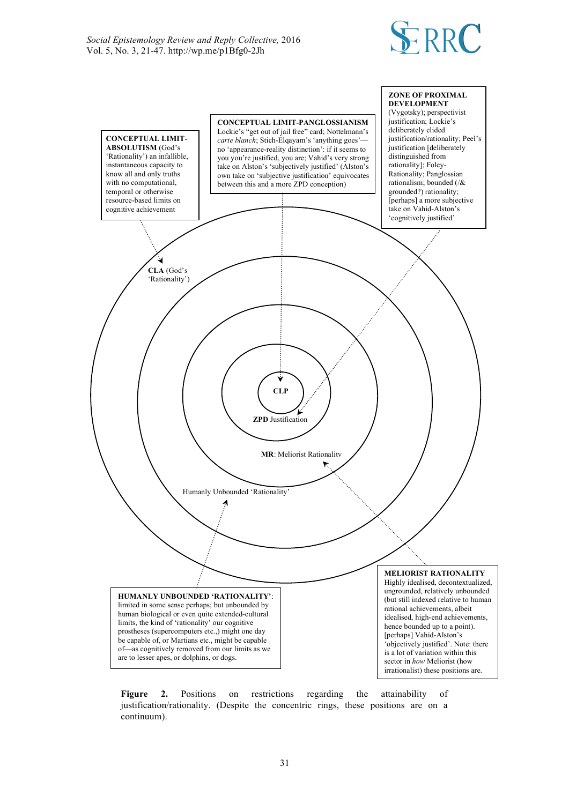



Figure 2. Positions on restrictions regarding the attainability of justification/rationality. (Despite the concentric rings, these positions are on a continuum).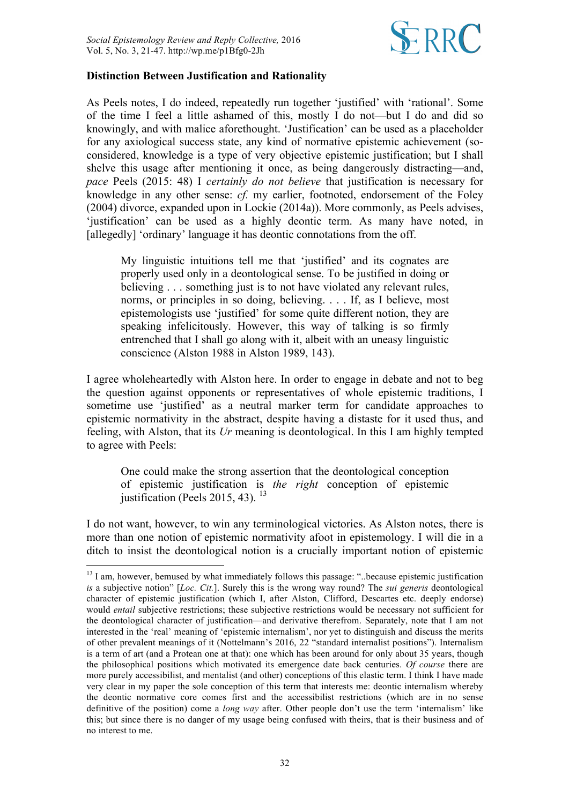

## **Distinction Between Justification and Rationality**

As Peels notes, I do indeed, repeatedly run together 'justified' with 'rational'. Some of the time I feel a little ashamed of this, mostly I do not—but I do and did so knowingly, and with malice aforethought. 'Justification' can be used as a placeholder for any axiological success state, any kind of normative epistemic achievement (soconsidered, knowledge is a type of very objective epistemic justification; but I shall shelve this usage after mentioning it once, as being dangerously distracting—and, *pace* Peels (2015: 48) I *certainly do not believe* that justification is necessary for knowledge in any other sense: *cf.* my earlier, footnoted, endorsement of the Foley (2004) divorce, expanded upon in Lockie (2014a)). More commonly, as Peels advises, 'justification' can be used as a highly deontic term. As many have noted, in [allegedly] 'ordinary' language it has deontic connotations from the off.

My linguistic intuitions tell me that 'justified' and its cognates are properly used only in a deontological sense. To be justified in doing or believing . . . something just is to not have violated any relevant rules, norms, or principles in so doing, believing. . . . If, as I believe, most epistemologists use 'justified' for some quite different notion, they are speaking infelicitously. However, this way of talking is so firmly entrenched that I shall go along with it, albeit with an uneasy linguistic conscience (Alston 1988 in Alston 1989, 143).

I agree wholeheartedly with Alston here. In order to engage in debate and not to beg the question against opponents or representatives of whole epistemic traditions, I sometime use 'justified' as a neutral marker term for candidate approaches to epistemic normativity in the abstract, despite having a distaste for it used thus, and feeling, with Alston, that its *Ur* meaning is deontological. In this I am highly tempted to agree with Peels:

One could make the strong assertion that the deontological conception of epistemic justification is *the right* conception of epistemic justification (Peels 2015, 43).  $^{13}$ 

I do not want, however, to win any terminological victories. As Alston notes, there is more than one notion of epistemic normativity afoot in epistemology. I will die in a ditch to insist the deontological notion is a crucially important notion of epistemic

 $13$  I am, however, bemused by what immediately follows this passage: "..because epistemic justification *is* a subjective notion" [*Loc. Cit.*]. Surely this is the wrong way round? The *sui generis* deontological character of epistemic justification (which I, after Alston, Clifford, Descartes etc. deeply endorse) would *entail* subjective restrictions; these subjective restrictions would be necessary not sufficient for the deontological character of justification—and derivative therefrom. Separately, note that I am not interested in the 'real' meaning of 'epistemic internalism', nor yet to distinguish and discuss the merits of other prevalent meanings of it (Nottelmann's 2016, 22 "standard internalist positions"). Internalism is a term of art (and a Protean one at that): one which has been around for only about 35 years, though the philosophical positions which motivated its emergence date back centuries. *Of course* there are more purely accessibilist, and mentalist (and other) conceptions of this elastic term. I think I have made very clear in my paper the sole conception of this term that interests me: deontic internalism whereby the deontic normative core comes first and the accessibilist restrictions (which are in no sense definitive of the position) come a *long way* after. Other people don't use the term 'internalism' like this; but since there is no danger of my usage being confused with theirs, that is their business and of no interest to me.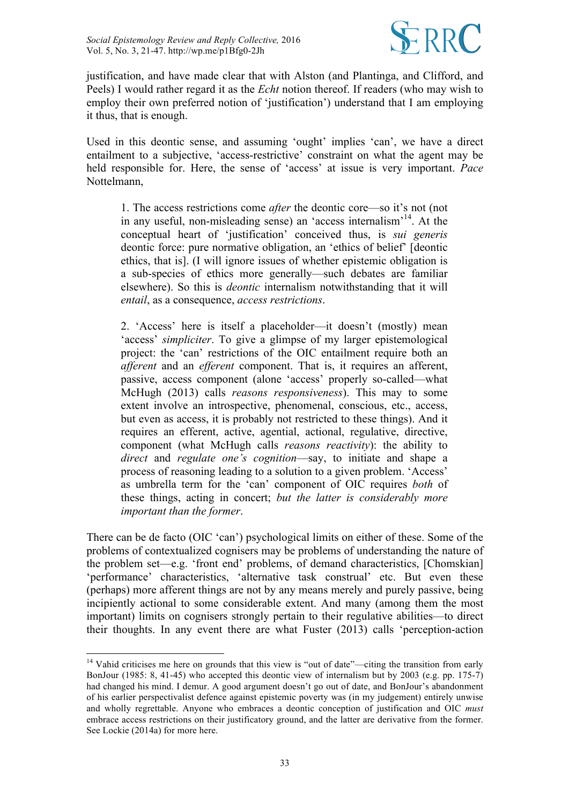

justification, and have made clear that with Alston (and Plantinga, and Clifford, and Peels) I would rather regard it as the *Echt* notion thereof. If readers (who may wish to employ their own preferred notion of 'justification') understand that I am employing it thus, that is enough.

Used in this deontic sense, and assuming 'ought' implies 'can', we have a direct entailment to a subjective, 'access-restrictive' constraint on what the agent may be held responsible for. Here, the sense of 'access' at issue is very important. *Pace* Nottelmann,

1. The access restrictions come *after* the deontic core—so it's not (not in any useful, non-misleading sense) an 'access internalism'14. At the conceptual heart of 'justification' conceived thus, is *sui generis* deontic force: pure normative obligation, an 'ethics of belief' [deontic ethics, that is]. (I will ignore issues of whether epistemic obligation is a sub-species of ethics more generally—such debates are familiar elsewhere). So this is *deontic* internalism notwithstanding that it will *entail*, as a consequence, *access restrictions*.

2. 'Access' here is itself a placeholder—it doesn't (mostly) mean 'access' *simpliciter*. To give a glimpse of my larger epistemological project: the 'can' restrictions of the OIC entailment require both an *afferent* and an *efferent* component. That is, it requires an afferent, passive, access component (alone 'access' properly so-called—what McHugh (2013) calls *reasons responsiveness*). This may to some extent involve an introspective, phenomenal, conscious, etc., access, but even as access, it is probably not restricted to these things). And it requires an efferent, active, agential, actional, regulative, directive, component (what McHugh calls *reasons reactivity*): the ability to *direct* and *regulate one's cognition*—say, to initiate and shape a process of reasoning leading to a solution to a given problem. 'Access' as umbrella term for the 'can' component of OIC requires *both* of these things, acting in concert; *but the latter is considerably more important than the former*.

There can be de facto (OIC 'can') psychological limits on either of these. Some of the problems of contextualized cognisers may be problems of understanding the nature of the problem set—e.g. 'front end' problems, of demand characteristics, [Chomskian] 'performance' characteristics, 'alternative task construal' etc. But even these (perhaps) more afferent things are not by any means merely and purely passive, being incipiently actional to some considerable extent. And many (among them the most important) limits on cognisers strongly pertain to their regulative abilities—to direct their thoughts. In any event there are what Fuster (2013) calls 'perception-action

<sup>&</sup>lt;sup>14</sup> Vahid criticises me here on grounds that this view is "out of date"—citing the transition from early BonJour (1985: 8, 41-45) who accepted this deontic view of internalism but by 2003 (e.g. pp. 175-7) had changed his mind. I demur. A good argument doesn't go out of date, and BonJour's abandonment of his earlier perspectivalist defence against epistemic poverty was (in my judgement) entirely unwise and wholly regrettable. Anyone who embraces a deontic conception of justification and OIC *must*  embrace access restrictions on their justificatory ground, and the latter are derivative from the former. See Lockie (2014a) for more here.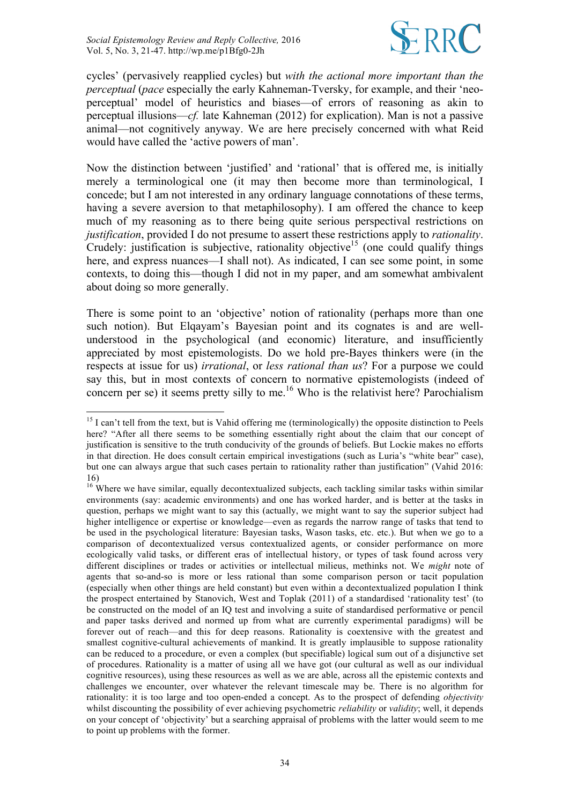

cycles' (pervasively reapplied cycles) but *with the actional more important than the perceptual* (*pace* especially the early Kahneman-Tversky, for example, and their 'neoperceptual' model of heuristics and biases—of errors of reasoning as akin to perceptual illusions—*cf.* late Kahneman (2012) for explication). Man is not a passive animal—not cognitively anyway. We are here precisely concerned with what Reid would have called the 'active powers of man'.

Now the distinction between 'justified' and 'rational' that is offered me, is initially merely a terminological one (it may then become more than terminological, I concede; but I am not interested in any ordinary language connotations of these terms, having a severe aversion to that metaphilosophy). I am offered the chance to keep much of my reasoning as to there being quite serious perspectival restrictions on *justification*, provided I do not presume to assert these restrictions apply to *rationality*. Crudely: justification is subjective, rationality objective<sup>15</sup> (one could qualify things here, and express nuances—I shall not). As indicated, I can see some point, in some contexts, to doing this—though I did not in my paper, and am somewhat ambivalent about doing so more generally.

There is some point to an 'objective' notion of rationality (perhaps more than one such notion). But Elqayam's Bayesian point and its cognates is and are wellunderstood in the psychological (and economic) literature, and insufficiently appreciated by most epistemologists. Do we hold pre-Bayes thinkers were (in the respects at issue for us) *irrational*, or *less rational than us*? For a purpose we could say this, but in most contexts of concern to normative epistemologists (indeed of concern per se) it seems pretty silly to me. <sup>16</sup> Who is the relativist here? Parochialism

<sup>&</sup>lt;sup>15</sup> I can't tell from the text, but is Vahid offering me (terminologically) the opposite distinction to Peels here? "After all there seems to be something essentially right about the claim that our concept of justification is sensitive to the truth conducivity of the grounds of beliefs. But Lockie makes no efforts in that direction. He does consult certain empirical investigations (such as Luria's "white bear" case), but one can always argue that such cases pertain to rationality rather than justification" (Vahid 2016: 16)

<sup>&</sup>lt;sup>16</sup> Where we have similar, equally decontextualized subjects, each tackling similar tasks within similar environments (say: academic environments) and one has worked harder, and is better at the tasks in question, perhaps we might want to say this (actually, we might want to say the superior subject had higher intelligence or expertise or knowledge—even as regards the narrow range of tasks that tend to be used in the psychological literature: Bayesian tasks, Wason tasks, etc. etc.). But when we go to a comparison of decontextualized versus contextualized agents, or consider performance on more ecologically valid tasks, or different eras of intellectual history, or types of task found across very different disciplines or trades or activities or intellectual milieus, methinks not. We *might* note of agents that so-and-so is more or less rational than some comparison person or tacit population (especially when other things are held constant) but even within a decontextualized population I think the prospect entertained by Stanovich, West and Toplak (2011) of a standardised 'rationality test' (to be constructed on the model of an IQ test and involving a suite of standardised performative or pencil and paper tasks derived and normed up from what are currently experimental paradigms) will be forever out of reach—and this for deep reasons. Rationality is coextensive with the greatest and smallest cognitive-cultural achievements of mankind. It is greatly implausible to suppose rationality can be reduced to a procedure, or even a complex (but specifiable) logical sum out of a disjunctive set of procedures. Rationality is a matter of using all we have got (our cultural as well as our individual cognitive resources), using these resources as well as we are able, across all the epistemic contexts and challenges we encounter, over whatever the relevant timescale may be. There is no algorithm for rationality: it is too large and too open-ended a concept. As to the prospect of defending *objectivity* whilst discounting the possibility of ever achieving psychometric *reliability* or *validity*; well, it depends on your concept of 'objectivity' but a searching appraisal of problems with the latter would seem to me to point up problems with the former.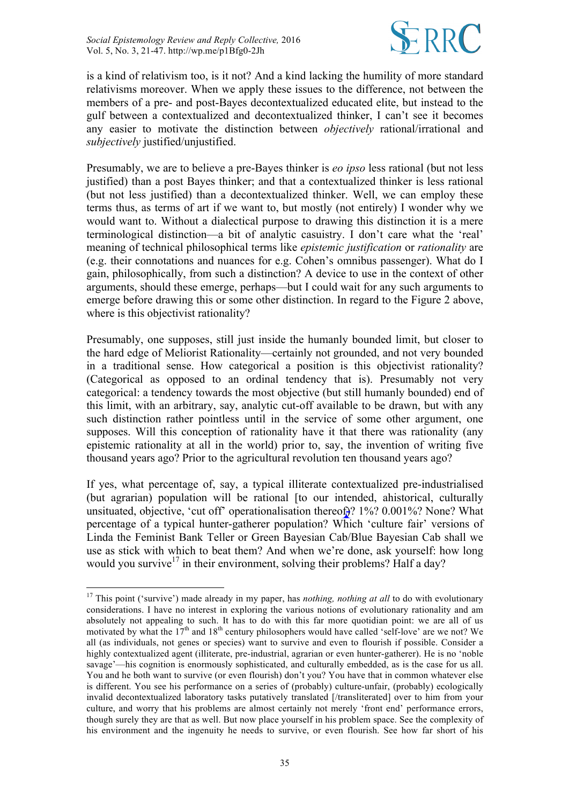

is a kind of relativism too, is it not? And a kind lacking the humility of more standard relativisms moreover. When we apply these issues to the difference, not between the members of a pre- and post-Bayes decontextualized educated elite, but instead to the gulf between a contextualized and decontextualized thinker, I can't see it becomes any easier to motivate the distinction between *objectively* rational/irrational and *subjectively* justified/unjustified.

Presumably, we are to believe a pre-Bayes thinker is *eo ipso* less rational (but not less justified) than a post Bayes thinker; and that a contextualized thinker is less rational (but not less justified) than a decontextualized thinker. Well, we can employ these terms thus, as terms of art if we want to, but mostly (not entirely) I wonder why we would want to. Without a dialectical purpose to drawing this distinction it is a mere terminological distinction—a bit of analytic casuistry. I don't care what the 'real' meaning of technical philosophical terms like *epistemic justification* or *rationality* are (e.g. their connotations and nuances for e.g. Cohen's omnibus passenger). What do I gain, philosophically, from such a distinction? A device to use in the context of other arguments, should these emerge, perhaps—but I could wait for any such arguments to emerge before drawing this or some other distinction. In regard to the Figure 2 above, where is this objectivist rationality?

Presumably, one supposes, still just inside the humanly bounded limit, but closer to the hard edge of Meliorist Rationality—certainly not grounded, and not very bounded in a traditional sense. How categorical a position is this objectivist rationality? (Categorical as opposed to an ordinal tendency that is). Presumably not very categorical: a tendency towards the most objective (but still humanly bounded) end of this limit, with an arbitrary, say, analytic cut-off available to be drawn, but with any such distinction rather pointless until in the service of some other argument, one supposes. Will this conception of rationality have it that there was rationality (any epistemic rationality at all in the world) prior to, say, the invention of writing five thousand years ago? Prior to the agricultural revolution ten thousand years ago?

If yes, what percentage of, say, a typical illiterate contextualized pre-industrialised (but agrarian) population will be rational [to our intended, ahistorical, culturally unsituated, objective, 'cut off' operationalisation thereof.)? 1%? 0.001%? None? What percentage of a typical hunter-gatherer population? Which 'culture fair' versions of Linda the Feminist Bank Teller or Green Bayesian Cab/Blue Bayesian Cab shall we use as stick with which to beat them? And when we're done, ask yourself: how long would you survive<sup>17</sup> in their environment, solving their problems? Half a day?

<sup>&</sup>lt;sup>17</sup> This point ('survive') made already in my paper, has *nothing, nothing at all* to do with evolutionary considerations. I have no interest in exploring the various notions of evolutionary rationality and am absolutely not appealing to such. It has to do with this far more quotidian point: we are all of us motivated by what the 17<sup>th</sup> and 18<sup>th</sup> century philosophers would have called 'self-love' are we not? We all (as individuals, not genes or species) want to survive and even to flourish if possible. Consider a highly contextualized agent (illiterate, pre-industrial, agrarian or even hunter-gatherer). He is no 'noble savage'—his cognition is enormously sophisticated, and culturally embedded, as is the case for us all. You and he both want to survive (or even flourish) don't you? You have that in common whatever else is different. You see his performance on a series of (probably) culture-unfair, (probably) ecologically invalid decontextualized laboratory tasks putatively translated [/transliterated] over to him from your culture, and worry that his problems are almost certainly not merely 'front end' performance errors, though surely they are that as well. But now place yourself in his problem space. See the complexity of his environment and the ingenuity he needs to survive, or even flourish. See how far short of his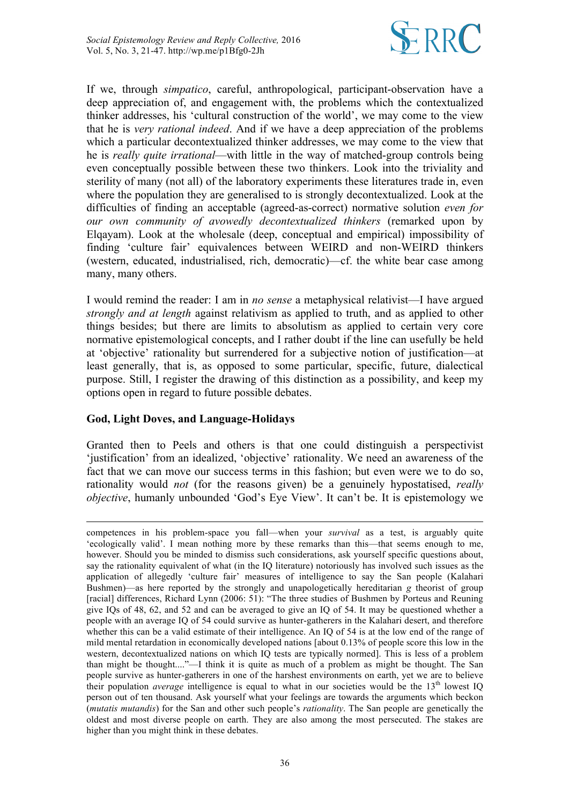

If we, through *simpatico*, careful, anthropological, participant-observation have a deep appreciation of, and engagement with, the problems which the contextualized thinker addresses, his 'cultural construction of the world', we may come to the view that he is *very rational indeed*. And if we have a deep appreciation of the problems which a particular decontextualized thinker addresses, we may come to the view that he is *really quite irrational*—with little in the way of matched-group controls being even conceptually possible between these two thinkers. Look into the triviality and sterility of many (not all) of the laboratory experiments these literatures trade in, even where the population they are generalised to is strongly decontextualized. Look at the difficulties of finding an acceptable (agreed-as-correct) normative solution *even for our own community of avowedly decontextualized thinkers* (remarked upon by Elqayam). Look at the wholesale (deep, conceptual and empirical) impossibility of finding 'culture fair' equivalences between WEIRD and non-WEIRD thinkers (western, educated, industrialised, rich, democratic)—cf. the white bear case among many, many others.

I would remind the reader: I am in *no sense* a metaphysical relativist—I have argued *strongly and at length* against relativism as applied to truth, and as applied to other things besides; but there are limits to absolutism as applied to certain very core normative epistemological concepts, and I rather doubt if the line can usefully be held at 'objective' rationality but surrendered for a subjective notion of justification—at least generally, that is, as opposed to some particular, specific, future, dialectical purpose. Still, I register the drawing of this distinction as a possibility, and keep my options open in regard to future possible debates.

# **God, Light Doves, and Language-Holidays**

 $\overline{a}$ 

Granted then to Peels and others is that one could distinguish a perspectivist 'justification' from an idealized, 'objective' rationality. We need an awareness of the fact that we can move our success terms in this fashion; but even were we to do so, rationality would *not* (for the reasons given) be a genuinely hypostatised, *really objective*, humanly unbounded 'God's Eye View'. It can't be. It is epistemology we

competences in his problem-space you fall—when your *survival* as a test, is arguably quite 'ecologically valid'. I mean nothing more by these remarks than this—that seems enough to me, however. Should you be minded to dismiss such considerations, ask yourself specific questions about, say the rationality equivalent of what (in the IQ literature) notoriously has involved such issues as the application of allegedly 'culture fair' measures of intelligence to say the San people (Kalahari Bushmen)—as here reported by the strongly and unapologetically hereditarian *g* theorist of group [racial] differences, Richard Lynn (2006: 51): "The three studies of Bushmen by Porteus and Reuning give IQs of 48, 62, and 52 and can be averaged to give an IQ of 54. It may be questioned whether a people with an average IQ of 54 could survive as hunter-gatherers in the Kalahari desert, and therefore whether this can be a valid estimate of their intelligence. An IQ of 54 is at the low end of the range of mild mental retardation in economically developed nations [about 0.13% of people score this low in the western, decontextualized nations on which IQ tests are typically normed]. This is less of a problem than might be thought...."—I think it is quite as much of a problem as might be thought. The San people survive as hunter-gatherers in one of the harshest environments on earth, yet we are to believe their population *average* intelligence is equal to what in our societies would be the 13<sup>th</sup> lowest IQ person out of ten thousand. Ask yourself what your feelings are towards the arguments which beckon (*mutatis mutandis*) for the San and other such people's *rationality*. The San people are genetically the oldest and most diverse people on earth. They are also among the most persecuted. The stakes are higher than you might think in these debates.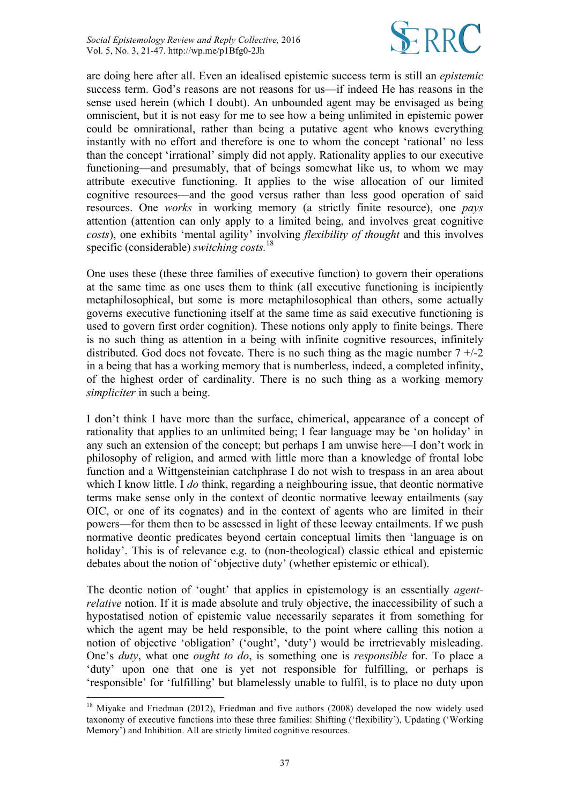

are doing here after all. Even an idealised epistemic success term is still an *epistemic*  success term. God's reasons are not reasons for us—if indeed He has reasons in the sense used herein (which I doubt). An unbounded agent may be envisaged as being omniscient, but it is not easy for me to see how a being unlimited in epistemic power could be omnirational, rather than being a putative agent who knows everything instantly with no effort and therefore is one to whom the concept 'rational' no less than the concept 'irrational' simply did not apply. Rationality applies to our executive functioning—and presumably, that of beings somewhat like us, to whom we may attribute executive functioning. It applies to the wise allocation of our limited cognitive resources—and the good versus rather than less good operation of said resources. One *works* in working memory (a strictly finite resource), one *pays* attention (attention can only apply to a limited being, and involves great cognitive *costs*), one exhibits 'mental agility' involving *flexibility of thought* and this involves specific (considerable) *switching costs.* 18

One uses these (these three families of executive function) to govern their operations at the same time as one uses them to think (all executive functioning is incipiently metaphilosophical, but some is more metaphilosophical than others, some actually governs executive functioning itself at the same time as said executive functioning is used to govern first order cognition). These notions only apply to finite beings. There is no such thing as attention in a being with infinite cognitive resources, infinitely distributed. God does not foveate. There is no such thing as the magic number  $7 +1$ -2 in a being that has a working memory that is numberless, indeed, a completed infinity, of the highest order of cardinality. There is no such thing as a working memory *simpliciter* in such a being.

I don't think I have more than the surface, chimerical, appearance of a concept of rationality that applies to an unlimited being; I fear language may be 'on holiday' in any such an extension of the concept; but perhaps I am unwise here—I don't work in philosophy of religion, and armed with little more than a knowledge of frontal lobe function and a Wittgensteinian catchphrase I do not wish to trespass in an area about which I know little. I *do* think, regarding a neighbouring issue, that deontic normative terms make sense only in the context of deontic normative leeway entailments (say OIC, or one of its cognates) and in the context of agents who are limited in their powers—for them then to be assessed in light of these leeway entailments. If we push normative deontic predicates beyond certain conceptual limits then 'language is on holiday'. This is of relevance e.g. to (non-theological) classic ethical and epistemic debates about the notion of 'objective duty' (whether epistemic or ethical).

The deontic notion of 'ought' that applies in epistemology is an essentially *agentrelative* notion. If it is made absolute and truly objective, the inaccessibility of such a hypostatised notion of epistemic value necessarily separates it from something for which the agent may be held responsible, to the point where calling this notion a notion of objective 'obligation' ('ought', 'duty') would be irretrievably misleading. One's *duty*, what one *ought to do*, is something one is *responsible* for. To place a 'duty' upon one that one is yet not responsible for fulfilling, or perhaps is 'responsible' for 'fulfilling' but blamelessly unable to fulfil, is to place no duty upon

<sup>&</sup>lt;sup>18</sup> Miyake and Friedman (2012), Friedman and five authors (2008) developed the now widely used taxonomy of executive functions into these three families: Shifting ('flexibility'), Updating ('Working Memory') and Inhibition. All are strictly limited cognitive resources.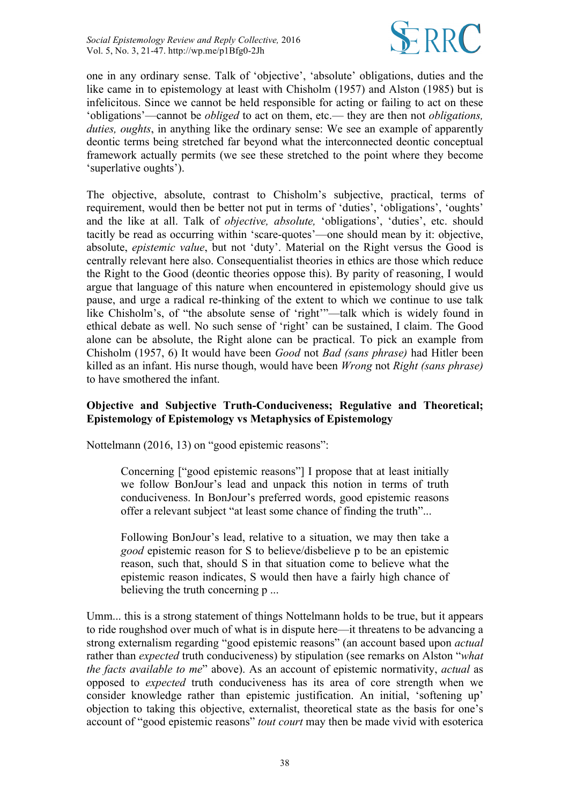

one in any ordinary sense. Talk of 'objective', 'absolute' obligations, duties and the like came in to epistemology at least with Chisholm (1957) and Alston (1985) but is infelicitous. Since we cannot be held responsible for acting or failing to act on these 'obligations'—cannot be *obliged* to act on them, etc.— they are then not *obligations, duties, oughts*, in anything like the ordinary sense: We see an example of apparently deontic terms being stretched far beyond what the interconnected deontic conceptual framework actually permits (we see these stretched to the point where they become 'superlative oughts').

The objective, absolute, contrast to Chisholm's subjective, practical, terms of requirement, would then be better not put in terms of 'duties', 'obligations', 'oughts' and the like at all. Talk of *objective, absolute,* 'obligations', 'duties', etc. should tacitly be read as occurring within 'scare-quotes'—one should mean by it: objective, absolute, *epistemic value*, but not 'duty'. Material on the Right versus the Good is centrally relevant here also. Consequentialist theories in ethics are those which reduce the Right to the Good (deontic theories oppose this). By parity of reasoning, I would argue that language of this nature when encountered in epistemology should give us pause, and urge a radical re-thinking of the extent to which we continue to use talk like Chisholm's, of "the absolute sense of 'right'"—talk which is widely found in ethical debate as well. No such sense of 'right' can be sustained, I claim. The Good alone can be absolute, the Right alone can be practical. To pick an example from Chisholm (1957, 6) It would have been *Good* not *Bad (sans phrase)* had Hitler been killed as an infant. His nurse though, would have been *Wrong* not *Right (sans phrase)* to have smothered the infant.

# **Objective and Subjective Truth-Conduciveness; Regulative and Theoretical; Epistemology of Epistemology vs Metaphysics of Epistemology**

Nottelmann (2016, 13) on "good epistemic reasons":

Concerning ["good epistemic reasons"] I propose that at least initially we follow BonJour's lead and unpack this notion in terms of truth conduciveness. In BonJour's preferred words, good epistemic reasons offer a relevant subject "at least some chance of finding the truth"...

Following BonJour's lead, relative to a situation, we may then take a *good* epistemic reason for S to believe/disbelieve p to be an epistemic reason, such that, should S in that situation come to believe what the epistemic reason indicates, S would then have a fairly high chance of believing the truth concerning p ...

Umm... this is a strong statement of things Nottelmann holds to be true, but it appears to ride roughshod over much of what is in dispute here—it threatens to be advancing a strong externalism regarding "good epistemic reasons" (an account based upon *actual* rather than *expected* truth conduciveness) by stipulation (see remarks on Alston "*what the facts available to me*" above). As an account of epistemic normativity, *actual* as opposed to *expected* truth conduciveness has its area of core strength when we consider knowledge rather than epistemic justification. An initial, 'softening up' objection to taking this objective, externalist, theoretical state as the basis for one's account of "good epistemic reasons" *tout court* may then be made vivid with esoterica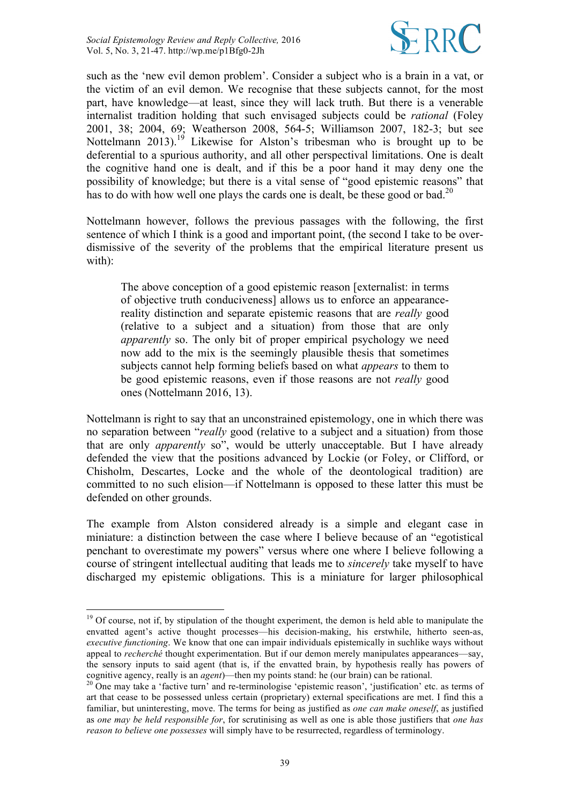

such as the 'new evil demon problem'. Consider a subject who is a brain in a vat, or the victim of an evil demon. We recognise that these subjects cannot, for the most part, have knowledge—at least, since they will lack truth. But there is a venerable internalist tradition holding that such envisaged subjects could be *rational* (Foley 2001, 38; 2004, 69; Weatherson 2008, 564-5; Williamson 2007, 182-3; but see Nottelmann 2013).<sup>19</sup> Likewise for Alston's tribesman who is brought up to be deferential to a spurious authority, and all other perspectival limitations. One is dealt the cognitive hand one is dealt, and if this be a poor hand it may deny one the possibility of knowledge; but there is a vital sense of "good epistemic reasons" that has to do with how well one plays the cards one is dealt, be these good or bad.<sup>20</sup>

Nottelmann however, follows the previous passages with the following, the first sentence of which I think is a good and important point, (the second I take to be overdismissive of the severity of the problems that the empirical literature present us with):

The above conception of a good epistemic reason [externalist: in terms of objective truth conduciveness] allows us to enforce an appearancereality distinction and separate epistemic reasons that are *really* good (relative to a subject and a situation) from those that are only *apparently* so. The only bit of proper empirical psychology we need now add to the mix is the seemingly plausible thesis that sometimes subjects cannot help forming beliefs based on what *appears* to them to be good epistemic reasons, even if those reasons are not *really* good ones (Nottelmann 2016, 13).

Nottelmann is right to say that an unconstrained epistemology, one in which there was no separation between "*really* good (relative to a subject and a situation) from those that are only *apparently* so", would be utterly unacceptable. But I have already defended the view that the positions advanced by Lockie (or Foley, or Clifford, or Chisholm, Descartes, Locke and the whole of the deontological tradition) are committed to no such elision—if Nottelmann is opposed to these latter this must be defended on other grounds.

The example from Alston considered already is a simple and elegant case in miniature: a distinction between the case where I believe because of an "egotistical penchant to overestimate my powers" versus where one where I believe following a course of stringent intellectual auditing that leads me to *sincerely* take myself to have discharged my epistemic obligations. This is a miniature for larger philosophical

<sup>&</sup>lt;sup>19</sup> Of course, not if, by stipulation of the thought experiment, the demon is held able to manipulate the envatted agent's active thought processes—his decision-making, his erstwhile, hitherto seen-as, *executive functioning*. We know that one can impair individuals epistemically in suchlike ways without appeal to *recherché* thought experimentation. But if our demon merely manipulates appearances—say, the sensory inputs to said agent (that is, if the envatted brain, by hypothesis really has powers of cognitive agency, really is an *agent*)—then my points stand: he (our brain) can be rational. <sup>20</sup> One may take a 'factive turn' and re-terminologise 'epistemic reason', 'justification' etc. as terms of

art that cease to be possessed unless certain (proprietary) external specifications are met. I find this a familiar, but uninteresting, move. The terms for being as justified as *one can make oneself*, as justified as *one may be held responsible for*, for scrutinising as well as one is able those justifiers that *one has reason to believe one possesses* will simply have to be resurrected, regardless of terminology.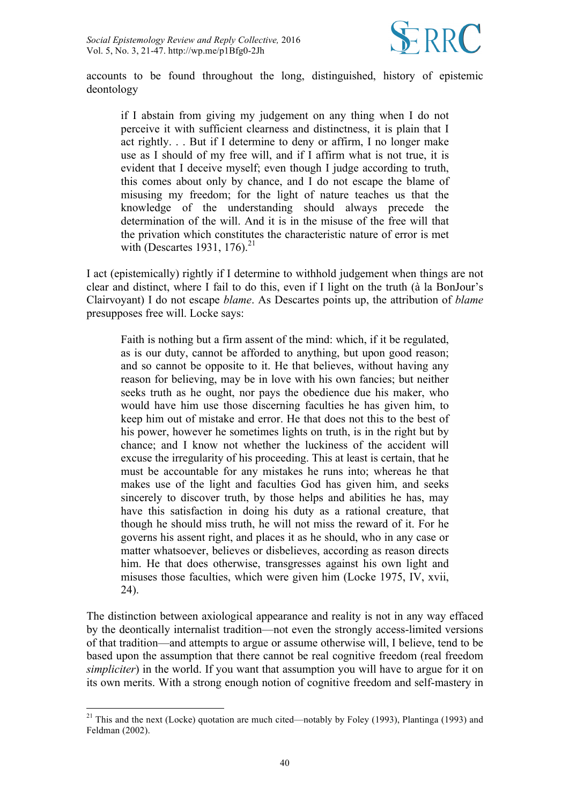

accounts to be found throughout the long, distinguished, history of epistemic deontology

if I abstain from giving my judgement on any thing when I do not perceive it with sufficient clearness and distinctness, it is plain that I act rightly. . . But if I determine to deny or affirm, I no longer make use as I should of my free will, and if I affirm what is not true, it is evident that I deceive myself; even though I judge according to truth, this comes about only by chance, and I do not escape the blame of misusing my freedom; for the light of nature teaches us that the knowledge of the understanding should always precede the determination of the will. And it is in the misuse of the free will that the privation which constitutes the characteristic nature of error is met with (Descartes 1931, 176). $^{21}$ 

I act (epistemically) rightly if I determine to withhold judgement when things are not clear and distinct, where I fail to do this, even if I light on the truth (à la BonJour's Clairvoyant) I do not escape *blame*. As Descartes points up, the attribution of *blame* presupposes free will. Locke says:

Faith is nothing but a firm assent of the mind: which, if it be regulated, as is our duty, cannot be afforded to anything, but upon good reason; and so cannot be opposite to it. He that believes, without having any reason for believing, may be in love with his own fancies; but neither seeks truth as he ought, nor pays the obedience due his maker, who would have him use those discerning faculties he has given him, to keep him out of mistake and error. He that does not this to the best of his power, however he sometimes lights on truth, is in the right but by chance; and I know not whether the luckiness of the accident will excuse the irregularity of his proceeding. This at least is certain, that he must be accountable for any mistakes he runs into; whereas he that makes use of the light and faculties God has given him, and seeks sincerely to discover truth, by those helps and abilities he has, may have this satisfaction in doing his duty as a rational creature, that though he should miss truth, he will not miss the reward of it. For he governs his assent right, and places it as he should, who in any case or matter whatsoever, believes or disbelieves, according as reason directs him. He that does otherwise, transgresses against his own light and misuses those faculties, which were given him (Locke 1975, IV, xvii, 24).

The distinction between axiological appearance and reality is not in any way effaced by the deontically internalist tradition—not even the strongly access-limited versions of that tradition—and attempts to argue or assume otherwise will, I believe, tend to be based upon the assumption that there cannot be real cognitive freedom (real freedom *simpliciter*) in the world. If you want that assumption you will have to argue for it on its own merits. With a strong enough notion of cognitive freedom and self-mastery in

 $21$  This and the next (Locke) quotation are much cited—notably by Foley (1993), Plantinga (1993) and Feldman (2002).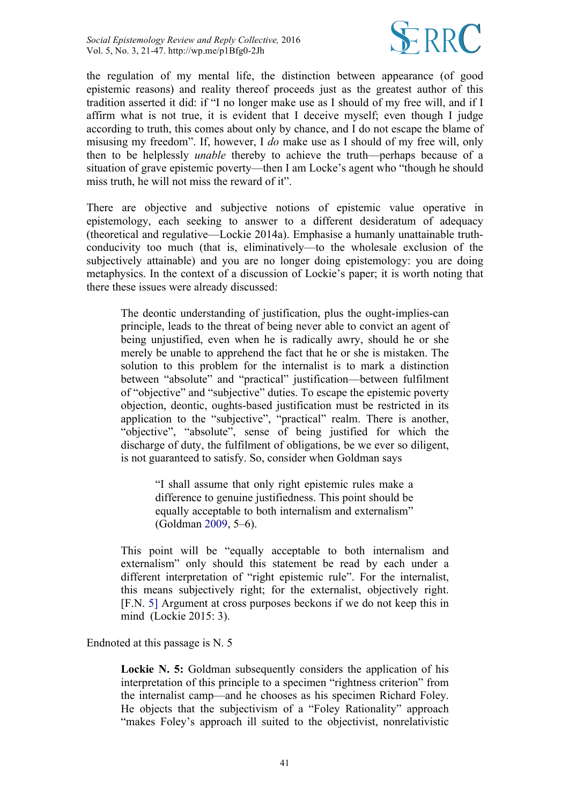

the regulation of my mental life, the distinction between appearance (of good epistemic reasons) and reality thereof proceeds just as the greatest author of this tradition asserted it did: if "I no longer make use as I should of my free will, and if I affirm what is not true, it is evident that I deceive myself; even though I judge according to truth, this comes about only by chance, and I do not escape the blame of misusing my freedom". If, however, I *do* make use as I should of my free will, only then to be helplessly *unable* thereby to achieve the truth—perhaps because of a situation of grave epistemic poverty—then I am Locke's agent who "though he should miss truth, he will not miss the reward of it".

There are objective and subjective notions of epistemic value operative in epistemology, each seeking to answer to a different desideratum of adequacy (theoretical and regulative—Lockie 2014a). Emphasise a humanly unattainable truthconducivity too much (that is, eliminatively—to the wholesale exclusion of the subjectively attainable) and you are no longer doing epistemology: you are doing metaphysics. In the context of a discussion of Lockie's paper; it is worth noting that there these issues were already discussed:

The deontic understanding of justification, plus the ought-implies-can principle, leads to the threat of being never able to convict an agent of being unjustified, even when he is radically awry, should he or she merely be unable to apprehend the fact that he or she is mistaken. The solution to this problem for the internalist is to mark a distinction between "absolute" and "practical" justification—between fulfilment of "objective" and "subjective" duties. To escape the epistemic poverty objection, deontic, oughts-based justification must be restricted in its application to the "subjective", "practical" realm. There is another, "objective", "absolute", sense of being justified for which the discharge of duty, the fulfilment of obligations, be we ever so diligent, is not guaranteed to satisfy. So, consider when Goldman says

> "I shall assume that only right epistemic rules make a difference to genuine justifiedness. This point should be equally acceptable to both internalism and externalism" (Goldman 2009, 5–6).

This point will be "equally acceptable to both internalism and externalism" only should this statement be read by each under a different interpretation of "right epistemic rule". For the internalist, this means subjectively right; for the externalist, objectively right. [F.N. 5] Argument at cross purposes beckons if we do not keep this in mind (Lockie 2015: 3).

Endnoted at this passage is N. 5

**Lockie N. 5:** Goldman subsequently considers the application of his interpretation of this principle to a specimen "rightness criterion" from the internalist camp—and he chooses as his specimen Richard Foley. He objects that the subjectivism of a "Foley Rationality" approach "makes Foley's approach ill suited to the objectivist, nonrelativistic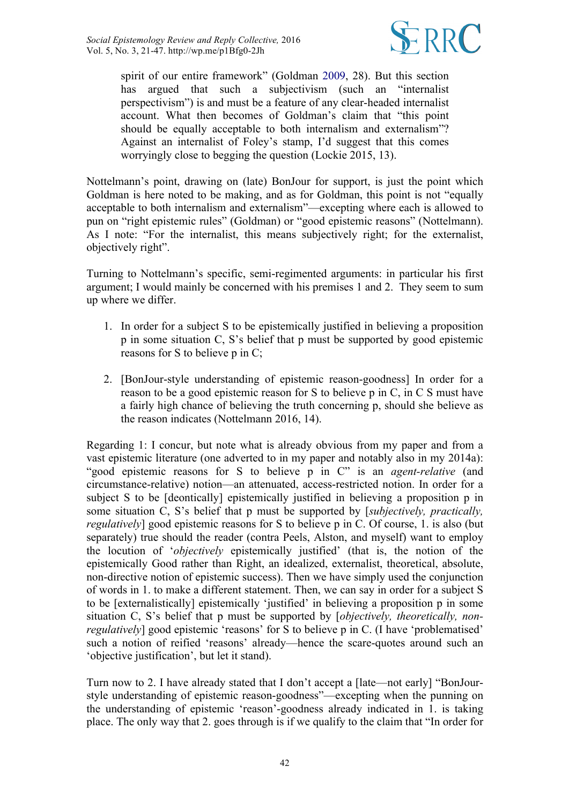

spirit of our entire framework" (Goldman 2009, 28). But this section has argued that such a subjectivism (such an "internalist perspectivism") is and must be a feature of any clear-headed internalist account. What then becomes of Goldman's claim that "this point should be equally acceptable to both internalism and externalism"? Against an internalist of Foley's stamp, I'd suggest that this comes worryingly close to begging the question (Lockie 2015, 13).

Nottelmann's point, drawing on (late) BonJour for support, is just the point which Goldman is here noted to be making, and as for Goldman, this point is not "equally acceptable to both internalism and externalism"—excepting where each is allowed to pun on "right epistemic rules" (Goldman) or "good epistemic reasons" (Nottelmann). As I note: "For the internalist, this means subjectively right; for the externalist, objectively right".

Turning to Nottelmann's specific, semi-regimented arguments: in particular his first argument; I would mainly be concerned with his premises 1 and 2. They seem to sum up where we differ.

- 1. In order for a subject S to be epistemically justified in believing a proposition p in some situation C, S's belief that p must be supported by good epistemic reasons for S to believe p in C;
- 2. [BonJour-style understanding of epistemic reason-goodness] In order for a reason to be a good epistemic reason for S to believe p in C, in C S must have a fairly high chance of believing the truth concerning p, should she believe as the reason indicates (Nottelmann 2016, 14).

Regarding 1: I concur, but note what is already obvious from my paper and from a vast epistemic literature (one adverted to in my paper and notably also in my 2014a): "good epistemic reasons for S to believe p in C" is an *agent-relative* (and circumstance-relative) notion—an attenuated, access-restricted notion. In order for a subject S to be [deontically] epistemically justified in believing a proposition p in some situation C, S's belief that p must be supported by [*subjectively, practically, regulatively*] good epistemic reasons for S to believe p in C. Of course, 1. is also (but separately) true should the reader (contra Peels, Alston, and myself) want to employ the locution of '*objectively* epistemically justified' (that is, the notion of the epistemically Good rather than Right, an idealized, externalist, theoretical, absolute, non-directive notion of epistemic success). Then we have simply used the conjunction of words in 1. to make a different statement. Then, we can say in order for a subject S to be [externalistically] epistemically 'justified' in believing a proposition p in some situation C, S's belief that p must be supported by [*objectively, theoretically, nonregulatively*] good epistemic 'reasons' for S to believe p in C. (I have 'problematised' such a notion of reified 'reasons' already—hence the scare-quotes around such an 'objective justification', but let it stand).

Turn now to 2. I have already stated that I don't accept a [late—not early] "BonJourstyle understanding of epistemic reason-goodness"—excepting when the punning on the understanding of epistemic 'reason'-goodness already indicated in 1. is taking place. The only way that 2. goes through is if we qualify to the claim that "In order for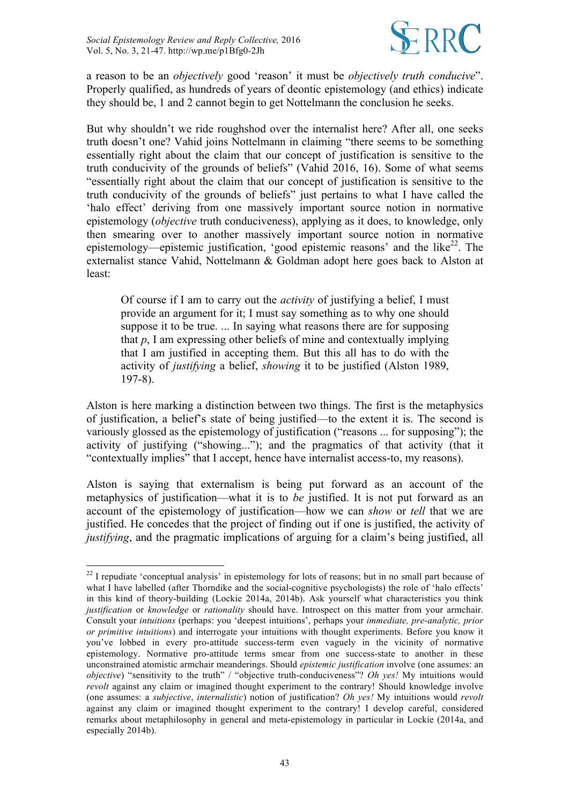

a reason to be an *objectively* good 'reason' it must be *objectively truth conducive*". Properly qualified, as hundreds of years of deontic epistemology (and ethics) indicate they should be, 1 and 2 cannot begin to get Nottelmann the conclusion he seeks.

But why shouldn't we ride roughshod over the internalist here? After all, one seeks truth doesn't one? Vahid joins Nottelmann in claiming "there seems to be something essentially right about the claim that our concept of justification is sensitive to the truth conducivity of the grounds of beliefs" (Vahid 2016, 16). Some of what seems "essentially right about the claim that our concept of justification is sensitive to the truth conducivity of the grounds of beliefs" just pertains to what I have called the 'halo effect' deriving from one massively important source notion in normative epistemology (*objective* truth conduciveness), applying as it does, to knowledge, only then smearing over to another massively important source notion in normative epistemology—epistemic justification, 'good epistemic reasons' and the like<sup>22</sup>. The externalist stance Vahid, Nottelmann & Goldman adopt here goes back to Alston at least:

Of course if I am to carry out the *activity* of justifying a belief, I must provide an argument for it; I must say something as to why one should suppose it to be true. ... In saying what reasons there are for supposing that  $p$ , I am expressing other beliefs of mine and contextually implying that I am justified in accepting them. But this all has to do with the activity of *justifying* a belief, *showing* it to be justified (Alston 1989, 197-8).

Alston is here marking a distinction between two things. The first is the metaphysics of justification, a belief's state of being justified—to the extent it is. The second is variously glossed as the epistemology of justification ("reasons ... for supposing"); the activity of justifying ("showing..."); and the pragmatics of that activity (that it "contextually implies" that I accept, hence have internalist access-to, my reasons).

Alston is saying that externalism is being put forward as an account of the metaphysics of justification—what it is to *be* justified. It is not put forward as an account of the epistemology of justification—how we can *show* or *tell* that we are justified. He concedes that the project of finding out if one is justified, the activity of *justifying*, and the pragmatic implications of arguing for a claim's being justified, all

 $22$  I repudiate 'conceptual analysis' in epistemology for lots of reasons; but in no small part because of what I have labelled (after Thorndike and the social-cognitive psychologists) the role of 'halo effects' in this kind of theory-building (Lockie 2014a, 2014b). Ask yourself what characteristics you think *justification* or *knowledge* or *rationality* should have. Introspect on this matter from your armchair. Consult your *intuitions* (perhaps: you 'deepest intuitions', perhaps your *immediate, pre-analytic, prior or primitive intuitions*) and interrogate your intuitions with thought experiments. Before you know it you've lobbed in every pro-attitude success-term even vaguely in the vicinity of normative epistemology. Normative pro-attitude terms smear from one success-state to another in these unconstrained atomistic armchair meanderings. Should *epistemic justification* involve (one assumes: an *objective*) "sensitivity to the truth" / "objective truth-conduciveness"? *Oh yes!* My intuitions would *revolt* against any claim or imagined thought experiment to the contrary! Should knowledge involve (one assumes: a *subjective*, *internalistic*) notion of justification? *Oh yes!* My intuitions would *revolt*  against any claim or imagined thought experiment to the contrary! I develop careful, considered remarks about metaphilosophy in general and meta-epistemology in particular in Lockie (2014a, and especially 2014b).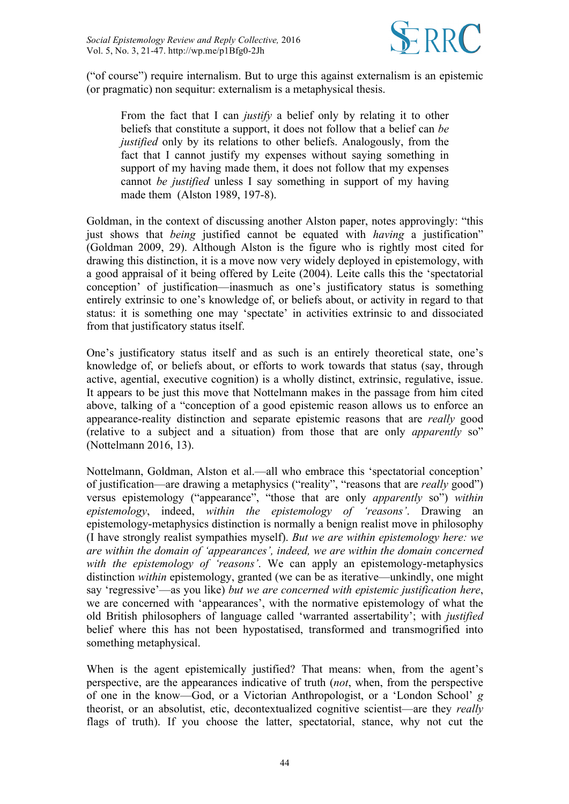

("of course") require internalism. But to urge this against externalism is an epistemic (or pragmatic) non sequitur: externalism is a metaphysical thesis.

From the fact that I can *justify* a belief only by relating it to other beliefs that constitute a support, it does not follow that a belief can *be justified* only by its relations to other beliefs. Analogously, from the fact that I cannot justify my expenses without saying something in support of my having made them, it does not follow that my expenses cannot *be justified* unless I say something in support of my having made them (Alston 1989, 197-8).

Goldman, in the context of discussing another Alston paper, notes approvingly: "this just shows that *being* justified cannot be equated with *having* a justification" (Goldman 2009, 29). Although Alston is the figure who is rightly most cited for drawing this distinction, it is a move now very widely deployed in epistemology, with a good appraisal of it being offered by Leite (2004). Leite calls this the 'spectatorial conception' of justification—inasmuch as one's justificatory status is something entirely extrinsic to one's knowledge of, or beliefs about, or activity in regard to that status: it is something one may 'spectate' in activities extrinsic to and dissociated from that justificatory status itself.

One's justificatory status itself and as such is an entirely theoretical state, one's knowledge of, or beliefs about, or efforts to work towards that status (say, through active, agential, executive cognition) is a wholly distinct, extrinsic, regulative, issue. It appears to be just this move that Nottelmann makes in the passage from him cited above, talking of a "conception of a good epistemic reason allows us to enforce an appearance-reality distinction and separate epistemic reasons that are *really* good (relative to a subject and a situation) from those that are only *apparently* so" (Nottelmann 2016, 13).

Nottelmann, Goldman, Alston et al.—all who embrace this 'spectatorial conception' of justification—are drawing a metaphysics ("reality", "reasons that are *really* good") versus epistemology ("appearance", "those that are only *apparently* so") *within epistemology*, indeed, *within the epistemology of 'reasons'*. Drawing an epistemology-metaphysics distinction is normally a benign realist move in philosophy (I have strongly realist sympathies myself). *But we are within epistemology here: we are within the domain of 'appearances', indeed, we are within the domain concerned with the epistemology of 'reasons'*. We can apply an epistemology-metaphysics distinction *within* epistemology, granted (we can be as iterative—unkindly, one might say 'regressive'—as you like) *but we are concerned with epistemic justification here*, we are concerned with 'appearances', with the normative epistemology of what the old British philosophers of language called 'warranted assertability'; with *justified* belief where this has not been hypostatised, transformed and transmogrified into something metaphysical.

When is the agent epistemically justified? That means: when, from the agent's perspective, are the appearances indicative of truth (*not*, when, from the perspective of one in the know—God, or a Victorian Anthropologist, or a 'London School' *g*  theorist, or an absolutist, etic, decontextualized cognitive scientist—are they *really* flags of truth). If you choose the latter, spectatorial, stance, why not cut the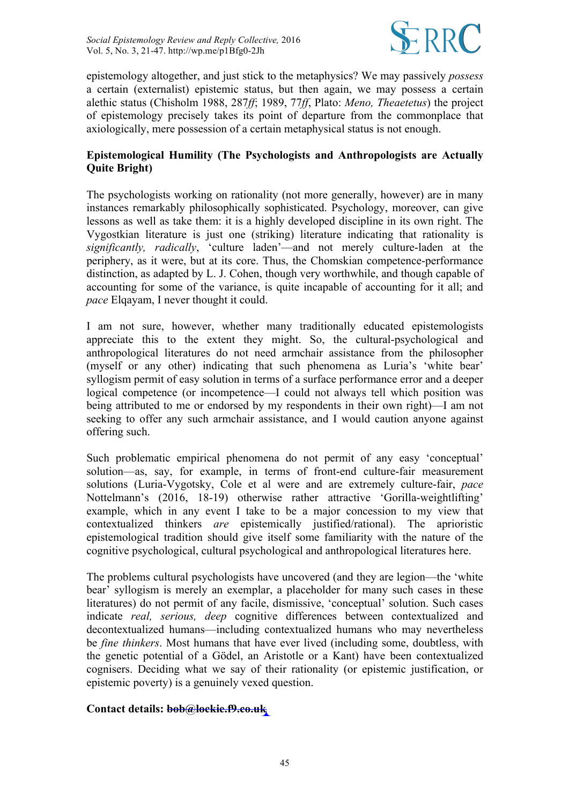

epistemology altogether, and just stick to the metaphysics? We may passively *possess* a certain (externalist) epistemic status, but then again, we may possess a certain alethic status (Chisholm 1988, 287*ff*; 1989, 77*ff*, Plato: *Meno, Theaetetus*) the project of epistemology precisely takes its point of departure from the commonplace that axiologically, mere possession of a certain metaphysical status is not enough.

# **Epistemological Humility (The Psychologists and Anthropologists are Actually Quite Bright)**

The psychologists working on rationality (not more generally, however) are in many instances remarkably philosophically sophisticated. Psychology, moreover, can give lessons as well as take them: it is a highly developed discipline in its own right. The Vygostkian literature is just one (striking) literature indicating that rationality is *significantly, radically*, 'culture laden'—and not merely culture-laden at the periphery, as it were, but at its core. Thus, the Chomskian competence-performance distinction, as adapted by L. J. Cohen, though very worthwhile, and though capable of accounting for some of the variance, is quite incapable of accounting for it all; and *pace* Elgayam, I never thought it could.

I am not sure, however, whether many traditionally educated epistemologists appreciate this to the extent they might. So, the cultural-psychological and anthropological literatures do not need armchair assistance from the philosopher (myself or any other) indicating that such phenomena as Luria's 'white bear' syllogism permit of easy solution in terms of a surface performance error and a deeper logical competence (or incompetence—I could not always tell which position was being attributed to me or endorsed by my respondents in their own right)—I am not seeking to offer any such armchair assistance, and I would caution anyone against offering such.

Such problematic empirical phenomena do not permit of any easy 'conceptual' solution—as, say, for example, in terms of front-end culture-fair measurement solutions (Luria-Vygotsky, Cole et al were and are extremely culture-fair, *pace* Nottelmann's (2016, 18-19) otherwise rather attractive 'Gorilla-weightlifting' example, which in any event I take to be a major concession to my view that contextualized thinkers *are* epistemically justified/rational). The aprioristic epistemological tradition should give itself some familiarity with the nature of the cognitive psychological, cultural psychological and anthropological literatures here.

The problems cultural psychologists have uncovered (and they are legion—the 'white bear' syllogism is merely an exemplar, a placeholder for many such cases in these literatures) do not permit of any facile, dismissive, 'conceptual' solution. Such cases indicate *real, serious, deep* cognitive differences between contextualized and decontextualized humans—including contextualized humans who may nevertheless be *fine thinkers*. Most humans that have ever lived (including some, doubtless, with the genetic potential of a Gödel, an Aristotle or a Kant) have been contextualized cognisers. Deciding what we say of their rationality (or epistemic justification, or epistemic poverty) is a genuinely vexed question.

#### **Contact details: bob@lockie.f9.co.uk**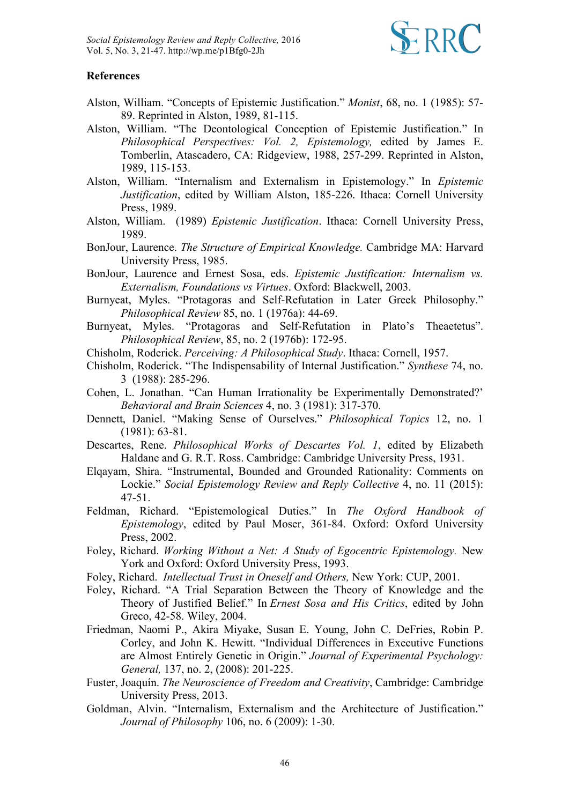

#### **References**

- Alston, William. "Concepts of Epistemic Justification." *Monist*, 68, no. 1 (1985): 57- 89. Reprinted in Alston, 1989, 81-115.
- Alston, William. "The Deontological Conception of Epistemic Justification." In *Philosophical Perspectives: Vol. 2, Epistemology,* edited by James E. Tomberlin, Atascadero, CA: Ridgeview, 1988, 257-299. Reprinted in Alston, 1989, 115-153.
- Alston, William. "Internalism and Externalism in Epistemology." In *Epistemic Justification*, edited by William Alston, 185-226. Ithaca: Cornell University Press, 1989.
- Alston, William. (1989) *Epistemic Justification*. Ithaca: Cornell University Press, 1989.
- BonJour, Laurence. *The Structure of Empirical Knowledge.* Cambridge MA: Harvard University Press, 1985.
- BonJour, Laurence and Ernest Sosa, eds. *Epistemic Justification: Internalism vs. Externalism, Foundations vs Virtues*. Oxford: Blackwell, 2003.
- Burnyeat, Myles. "Protagoras and Self-Refutation in Later Greek Philosophy." *Philosophical Review* 85, no. 1 (1976a): 44-69.
- Burnyeat, Myles. "Protagoras and Self-Refutation in Plato's Theaetetus". *Philosophical Review*, 85, no. 2 (1976b): 172-95.
- Chisholm, Roderick. *Perceiving: A Philosophical Study*. Ithaca: Cornell, 1957.
- Chisholm, Roderick. "The Indispensability of Internal Justification." *Synthese* 74, no. 3 (1988): 285-296.
- Cohen, L. Jonathan. "Can Human Irrationality be Experimentally Demonstrated?' *Behavioral and Brain Sciences* 4, no. 3 (1981): 317-370.
- Dennett, Daniel. "Making Sense of Ourselves." *Philosophical Topics* 12, no. 1 (1981): 63-81.
- Descartes, Rene. *Philosophical Works of Descartes Vol. 1*, edited by Elizabeth Haldane and G. R.T. Ross. Cambridge: Cambridge University Press, 1931.
- Elqayam, Shira. "Instrumental, Bounded and Grounded Rationality: Comments on Lockie." *Social Epistemology Review and Reply Collective* 4, no. 11 (2015): 47-51.
- Feldman, Richard. "Epistemological Duties." In *The Oxford Handbook of Epistemology*, edited by Paul Moser, 361-84. Oxford: Oxford University Press, 2002.
- Foley, Richard. *Working Without a Net: A Study of Egocentric Epistemology.* New York and Oxford: Oxford University Press, 1993.
- Foley, Richard. *Intellectual Trust in Oneself and Others,* New York: CUP, 2001.
- Foley, Richard. "A Trial Separation Between the Theory of Knowledge and the Theory of Justified Belief." In *Ernest Sosa and His Critics*, edited by John Greco, 42-58. Wiley, 2004.
- Friedman, Naomi P., Akira Miyake, Susan E. Young, John C. DeFries, Robin P. Corley, and John K. Hewitt. "Individual Differences in Executive Functions are Almost Entirely Genetic in Origin." *Journal of Experimental Psychology: General,* 137, no. 2, (2008): 201-225.
- Fuster, Joaquín. *The Neuroscience of Freedom and Creativity*, Cambridge: Cambridge University Press, 2013.
- Goldman, Alvin. "Internalism, Externalism and the Architecture of Justification." *Journal of Philosophy* 106, no. 6 (2009): 1-30.